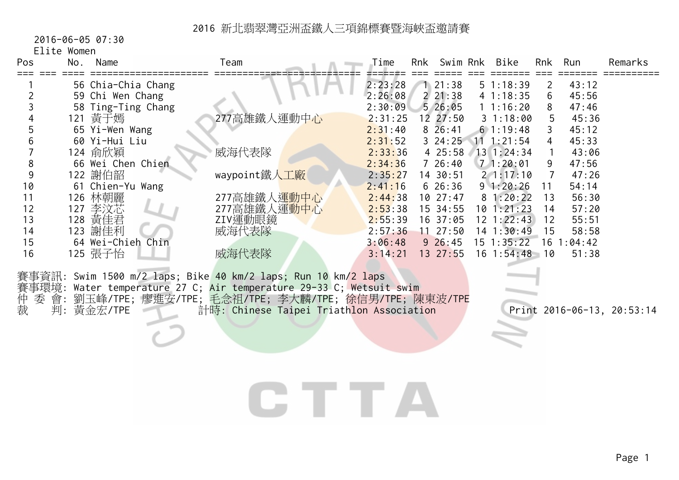2016-06-05 07:30

Elite Women

| Pos | No. | Name               | Team         | Time    | Rnk | Swim Rnk     | Bike           | Rnk | Run     | Remarks |
|-----|-----|--------------------|--------------|---------|-----|--------------|----------------|-----|---------|---------|
|     |     | 56 Chia-Chia Chang |              | 2:23:28 |     | 21:38        | $5 \t1:18:39$  |     | 43:12   |         |
|     |     | 59 Chi Wen Chang   |              | 2:26:08 |     | 221:38       | 41:18:35       | 6   | 45:56   |         |
|     |     | 58 Ting-Ting Chang |              | 2:30:09 |     | 526:05       | 11:16:20       | 8   | 47:46   |         |
|     |     | 121 黃于嫣            | 277高雄鐵人運動中心  | 2:31:25 |     | 12, 27:50    | 31:18:00       | 5.  | 45:36   |         |
|     |     | 65 Yi-Wen Wang     |              | 2:31:40 |     | 826:41       | 61:19:48       |     | 45:12   |         |
|     |     | 60 Yi-Hui Liu      |              | 2:31:52 |     | $3\;\;24:25$ | $11 \t1:21:54$ | 4   | 45:33   |         |
|     |     | 124 俞欣穎            | 威海代表隊        | 2:33:36 |     | 4 25:58      | 13 1:24:34     |     | 43:06   |         |
|     |     | 66 Wei Chen Chien  |              | 2:34:36 |     | 726:40       | 71:20:01       | 9.  | 47:56   |         |
|     |     | 122 謝伯韶            | waypoint鐵人工廠 | 2:35:27 |     | 14 30:51     | 21:17:10       |     | 47:26   |         |
| 10  |     | 61 Chien-Yu Wang   |              | 2:41:16 |     | $6\;26:36$   | 91:20:26       | 11  | 54:14   |         |
|     |     | 126 林朝麗            | 277高雄鐵人運動中心  | 2:44:38 |     | 1027:47      | 81:20:22       | 13  | 56:30   |         |
| 12  | 127 | 李汶芯                | 277高雄鐵人運動中心  | 2:53:38 |     | 15 34:55     | 10 1:21:23     | 14  | 57:20   |         |
| 13  | 128 | 黃佳君                | ZIV運動眼鏡      | 2:55:39 |     | 16 37:05     | 12 1:22:43     | 12  | 55:51   |         |
| 14  | 123 | 謝佳利                | 威海代表隊        | 2:57:36 |     | $11 \t27:50$ | 14 1:30:49     | 15  | 58:58   |         |
| 15  |     | 64 Wei-Chieh Chin  |              | 3:06:48 |     | $9\;26:45$   | 15 1:35:22     | 16  | l:04:42 |         |
| 16  |     | 125 張子怡            | 威海代表隊        | 3:14:21 |     | 13 27:55     | $16 \t1:54:48$ | 10  | 51:38   |         |
|     |     |                    |              |         |     |              |                |     |         |         |

賽事資訊: Swim 1500 m/2 laps; Bike 40 km/2 laps; Run 10 km/2 laps 賽事環境: Water temperature 27 C; <mark>Air temperature 29-33</mark> C; Wetsuit swim 仲 委 會: 劉玉峰/TPE; 廖進安/TPE; 毛念祖/TPE; 李大麟/TPE; 徐信男/TPE; 陳東波/TPE 裁 判: 黃金宏/TPE 計時: Chinese Taipei Triathlon Association Print 2016-06-13, 20:53:14

# CTTA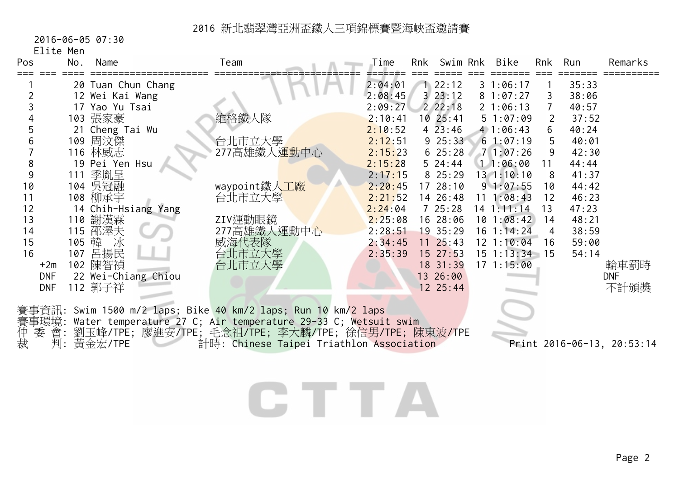2016-06-05 07:30

Elite Men

| Pos            | No.   | Name                | Team                                                                | Time    | Rnk | Swim Rnk     | <b>Bike</b>     | Rnk            | Run   | Remarks                    |
|----------------|-------|---------------------|---------------------------------------------------------------------|---------|-----|--------------|-----------------|----------------|-------|----------------------------|
|                |       | 20 Tuan Chun Chang  |                                                                     | 2:04:01 |     | 22:12        | 31:06:17        |                | 35:33 |                            |
| $\overline{2}$ |       | 12 Wei Kai Wang     |                                                                     | 2:08:45 |     | 323:12       | 81:07:27        |                | 38:06 |                            |
| 3              |       | 17 Yao Yu Tsai      |                                                                     | 2:09:27 |     | 22:18        | 21:06:13        |                | 40:57 |                            |
| 4              |       | 103 張家豪             | 維格鐵人隊                                                               | 2:10:41 |     | 10 25:41     | 51:07:09        | $\overline{2}$ | 37:52 |                            |
| 5              |       | 21 Cheng Tai Wu     |                                                                     | 2:10:52 |     | 423:46       | 41:06:43        | 6              | 40:24 |                            |
| 6              |       | 109 周汶傑             | 台北市立大學                                                              | 2:12:51 |     | 925:33       | 61:07:19        | 5              | 40:01 |                            |
|                |       | 116 林威志             | 277高雄鐵人運動中心                                                         | 2:15:23 |     | 625:28       | 71:07:26        | 9              | 42:30 |                            |
| 8              |       | 19 Pei Yen Hsu      |                                                                     | 2:15:28 |     | 524:44       | 11:06:00        | 11             | 44:44 |                            |
| 9              |       | 111 季胤呈             |                                                                     | 2:17:15 |     | 8 25:29      | 131:10:10       | 8              | 41:37 |                            |
| 10             |       | 104 吳冠融             | waypoint鐵人工廠                                                        | 2:20:45 |     | 17 28:10     | 91:07:55        | 10             | 44:42 |                            |
| 11             |       | 108 柳承宇             | 台北市立大學                                                              | 2:21:52 |     | 14 26:48     | 11 1:08:43      | 12             | 46:23 |                            |
| 12             |       | 14 Chih-Hsiang Yang |                                                                     | 2:24:04 |     | 725:28       | $14$ 1:11:14    | 13             | 47:23 |                            |
| 13             |       | 110 謝漢霖             | ZIV運動眼鏡                                                             | 2:25:08 |     | 16 28:06     | 101:08:42       | 14             | 48:21 |                            |
| 14             |       | 115 邵澤夫             | 277高雄鐵人運動中心                                                         | 2:28:51 |     | 19 35:29     | 16 1:14:24      | 4              | 38:59 |                            |
| 15             | 105 韓 | 冰                   | 威海代表隊                                                               | 2:34:45 |     | $11 \t25:43$ | $12$ $1:10:04$  | 16             | 59:00 |                            |
| 16             | 107   | 呂揚民                 | 台北市立大學                                                              | 2:35:39 |     | 15 27:53     | $15$ 1:13:34 15 |                | 54:14 |                            |
| $+2m$          |       | 102 陳智禎             | 台北市立大學                                                              |         |     | 18 31:39     | 171:15:00       |                |       | 輪車罰時                       |
| <b>DNF</b>     |       | 22 Wei-Chiang Chiou |                                                                     |         |     | 13 26:00     |                 |                |       | <b>DNF</b>                 |
| <b>DNF</b>     |       | 112 郭子祥             |                                                                     |         |     | 12 25:44     |                 |                |       | 不計頒獎                       |
|                |       |                     |                                                                     |         |     |              |                 |                |       |                            |
|                |       |                     | 賽事資訊: Swim 1500 m/2 laps; Bike 40 km/2 laps; Run 10 km/2 laps       |         |     |              |                 |                |       |                            |
|                |       |                     | 賽事環境: Water temperature 27 C; Air temperature 29-33 C; Wetsuit swim |         |     |              |                 |                |       |                            |
| 仲裁<br>會:<br>委  |       |                     | 劉玉峰/TPE; 廖進安/TPE; 毛念祖/TPE; 李大麟/TPE; 徐信男/TPE; 陳東波/TPE                |         |     |              |                 |                |       |                            |
| 判:             |       | 黃金宏/TPE             | 計時: Chinese Taipei Triathlon Association                            |         |     |              |                 |                |       | Print 2016-06-13, 20:53:14 |
|                |       |                     |                                                                     |         |     |              |                 |                |       |                            |
|                |       |                     |                                                                     |         |     |              |                 |                |       |                            |
|                |       |                     |                                                                     |         |     |              |                 |                |       |                            |
|                |       |                     |                                                                     |         |     |              |                 |                |       |                            |
|                |       |                     |                                                                     |         |     |              |                 |                |       |                            |

Page 2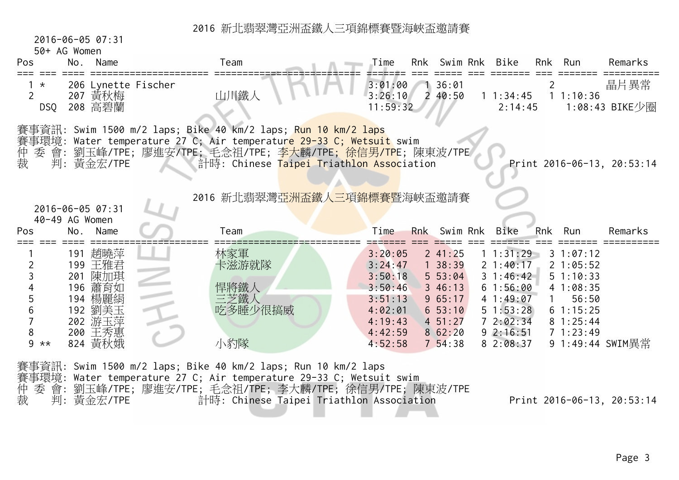2016-06-05 07:31

50+ AG Women

| Name    | Team                                                                                                                                                                              | Bike<br>Remarks<br>Time<br>Rnk<br>Swim Rnk<br>Run<br>Rnk                                                                                                                                                                                                                                                                                                                            |
|---------|-----------------------------------------------------------------------------------------------------------------------------------------------------------------------------------|-------------------------------------------------------------------------------------------------------------------------------------------------------------------------------------------------------------------------------------------------------------------------------------------------------------------------------------------------------------------------------------|
|         | 山川鐵人                                                                                                                                                                              | 晶片異常<br>36:01<br>3:01:00<br>3:26:10<br>240:50<br>$1 \t1:34:45$<br>11:10:36<br>11:59:32<br>1:08:43 BIKE少圈<br>2:14:45                                                                                                                                                                                                                                                                 |
|         |                                                                                                                                                                                   | 計時: Chinese Taipei Triathlon Association<br>Print 2016-06-13, 20:53:14                                                                                                                                                                                                                                                                                                              |
|         | Team                                                                                                                                                                              | 2016 新北翡翠灣亞洲盃鐵人三項錦標賽暨海峽盃邀請賽<br>Rnk Swim Rnk<br>Time<br>Bike<br>Run<br>Remarks<br><b>Rnk</b>                                                                                                                                                                                                                                                                                         |
| 200 王秀惠 | 林家軍<br>卡滋游就隊<br>悍將鐵人<br>三芝鐵人<br>吃多睡少很搞威                                                                                                                                           | 241:25<br>1 1:31:29<br>3:20:05<br>31:07:12<br>138:39<br>3:24:47<br>21:40:17<br>21:05:52<br>3:50:18<br>$5\,53:04$<br>$3 \; 1:46:42$<br>51:10:33<br>346:13<br>61:56:00<br>3:50:46<br>41:08:35<br>965:17<br>41:49:07<br>56:50<br>3:51:13<br>653:10<br>51:53:28<br>61:15:25<br>4:02:01<br>$4\;\;51:27$<br>72:02:34<br>4:19:43<br>81:25:44<br>8 62:20<br>92:16:51<br>4:42:59<br>71:23:49 |
|         | 206 Lynette Fischer<br>207 黃秋梅<br>208 高碧蘭<br>判:黃金宏/TPE<br>2016-06-05 07:31<br>40-49 AG Women<br>Name<br>191 趙曉萍<br>199 王雅君<br>201 陳加琪<br>196 蕭育如<br>194 楊麗絹<br>192 劉美玉<br>202 游玉萍 | 賽事資訊: Swim 1500 m/2 laps; Bike 40 km/2 laps; <mark>Run 10 km/2 laps</mark><br>賽事環境: Water temperature 27 C; Air temperatur <mark>e 29-33 C; Wetsuit</mark> swim<br>委 會: 劉玉峰/TPE; 廖進安/TPE; 毛念祖/TPE; 李大麟/TPE; 徐信男/TPE; 陳東波/TPE                                                                                                                                                        |

| 賽事資訊: Swim 1500 m/2 laps; Bike 40 km/2 laps; Run 10 km/2 laps       |  |
|---------------------------------------------------------------------|--|
| 賽事環境: Water temperature 27 C; Air temperature 29-33 C; Wetsuit swim |  |
| 仲 委 會: 劉玉峰/TPE; 廖進安/TPE; 毛念祖/TPE; 李大麟/TPE; 徐信男/TPE; 陳東波/TPE         |  |
| 裁   判: 黃金宏/TPE<br>計時: Chinese Taipei Triathlon Association          |  |

Print 2016-06-13, 20:53:14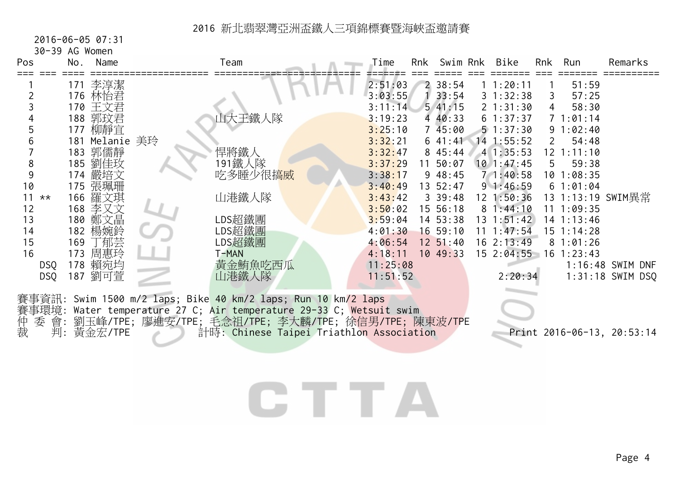2016-06-05 07:31

30-39 AG Women

| Pos                                                            | No. | Name                                                                                                                                                      | Team                                                                                                                                                                                                                                                                            | Time                                                                                                                                                   | Rnk | Swim Rnk                                                                                                                                           | Bike                                                                                                                                                                                       | Rnk                                                   | Run                                                                                                                                                         | Remarks                                                              |
|----------------------------------------------------------------|-----|-----------------------------------------------------------------------------------------------------------------------------------------------------------|---------------------------------------------------------------------------------------------------------------------------------------------------------------------------------------------------------------------------------------------------------------------------------|--------------------------------------------------------------------------------------------------------------------------------------------------------|-----|----------------------------------------------------------------------------------------------------------------------------------------------------|--------------------------------------------------------------------------------------------------------------------------------------------------------------------------------------------|-------------------------------------------------------|-------------------------------------------------------------------------------------------------------------------------------------------------------------|----------------------------------------------------------------------|
| 2<br>5<br>6<br>8<br>9<br>10<br>$11 \times x$<br>12<br>13<br>14 | 177 | 171 李淳潔<br>176 林怡君<br>170 王文君<br>188 郭玟君<br>柳靜宜<br>181 Melanie 美玲<br>183 郭儒靜<br>185 劉佳玫<br>174 嚴培文<br>175 張珮珊<br>166 羅文琪<br>168 李又文<br>180 鄭文晶<br>182 楊婉鈴 | 山大王鐵人隊<br>悍將鐵人<br>191鐵人隊<br>吃多睡少很搞威<br>山港鐵人隊<br>LDS超鐵團<br>LDS超鐵團                                                                                                                                                                                                                | 2:51:03<br>3:03:55<br>3:11:14<br>3:19:23<br>3:25:10<br>3:32:21<br>3:32:47<br>3:37:29<br>3:38:17<br>3:40:49<br>3:43:42<br>3:50:02<br>3:59:04<br>4:01:30 |     | 238:54<br>33:54<br>541:15<br>4 40:33<br>745:00<br>641:41<br>8 45:44<br>11 50:07<br>948:45<br>13 52:47<br>339:48<br>15 56:18<br>14 53:38<br>1659:10 | 11:20:11<br>31:32:38<br>21:31:30<br>61:37:37<br>51:37:30<br>$14$ 1:55:52<br>41:35:53<br>$10$ 1:47:45<br>71:40:58<br>91:46:59<br>12 1:50:36<br>81:44:10<br>$13 \t1:51:42$<br>$11 \t1:47:54$ | 3<br>4<br>$\mathbf{2}^{\mathsf{I}}$<br>5 <sup>5</sup> | 51:59<br>57:25<br>58:30<br>71:01:14<br>91:02:40<br>54:48<br>$12$ $1:11:10$<br>59:38<br>101:08:35<br>61:01:04<br>111:09:35<br>$14$ 1:13:46<br>$15 \t1:14:28$ | 13 1:13:19 SWIM異常                                                    |
| 15<br>16<br>DSQ<br>DSQ<br>仲<br>委 會:<br>裁                       |     | 169 丁郁芸<br>173 周惠玲<br>178 賴宛均<br>187 劉可萱<br>判: 黃金宏/TPE                                                                                                    | LDS超鐵團<br>T-MAN<br>黃金鮪魚吃西瓜<br>山港鐵人隊<br>賽事資訊: Swim 1500 m/2 laps; Bike 40 km/2 laps; Run 10 km/2 laps<br>賽事環境: Water temperature 27 C; Air temperature 29-33 C; Wetsuit swim<br>劉玉峰/TPE; 廖進安/TPE; 毛念祖/TPE; 李大麟/TPE; 徐信男/TPE; 陳東波/TPE<br>計時: Chinese Taipei Triathlon Association | 4:06:54<br>4:18:11<br>11:25:08<br>11:51:52                                                                                                             |     | $12 \, 51:40$<br>10 49:33                                                                                                                          | $16 \t2:13:49$<br>15 2:04:55<br>2:20:34                                                                                                                                                    |                                                       | 81:01:26<br>$16$ 1:23:43                                                                                                                                    | 1:16:48 SWIM DNF<br>$1:31:18$ SWIM DSQ<br>Print 2016-06-13, 20:53:14 |

CTTA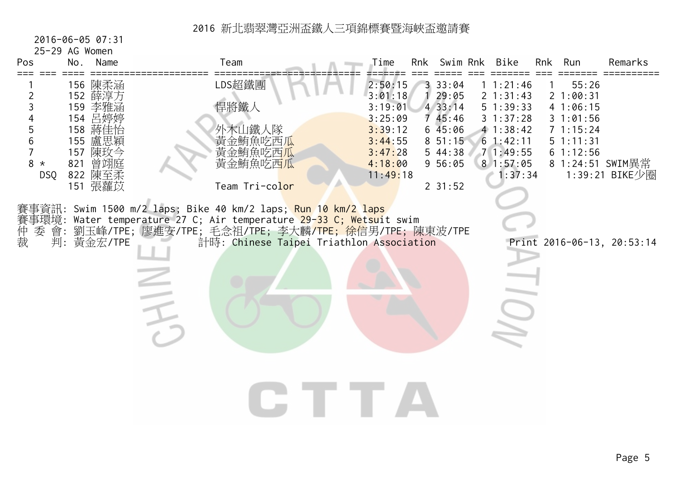2016-06-05 07:31

25-29 AG Women

| Pos<br>No.                         | Name                                                                                                       | Team                                                                                                                                                                                                                                            | Time                                                                                             | Rnk | Swim Rnk                                                                                       | Bike                                                                                                     | Rnk<br>Run                                                                     | Remarks                            |
|------------------------------------|------------------------------------------------------------------------------------------------------------|-------------------------------------------------------------------------------------------------------------------------------------------------------------------------------------------------------------------------------------------------|--------------------------------------------------------------------------------------------------|-----|------------------------------------------------------------------------------------------------|----------------------------------------------------------------------------------------------------------|--------------------------------------------------------------------------------|------------------------------------|
| 2<br>3<br>5<br>$8 *$<br><b>DSQ</b> | 156 陳柔涵<br>152 薛淳方<br>159 李雅涵<br>154 吕婷婷<br>158 蔣佳怡<br>155 盧思穎<br>157 陳玫今<br>821 曾翊庭<br>822 陳至柔<br>151 張蘿苡 | LDS超鐵團<br>悍將鐵人<br>外木山鐵人隊<br>黄金鮪魚吃西瓜<br>黃金鮪魚吃西瓜<br>黄金鮪魚吃西瓜<br>Team Tri-color                                                                                                                                                                     | 2:50:15<br>3:01:18<br>3:19:01<br>3:25:09<br>3:39:12<br>3:44:55<br>3:47:28<br>4:18:00<br>11:49:18 |     | 33:04<br>29:05<br>433:14<br>745:46<br>645:06<br>$8\ 51:15$<br>544:38<br>956:05<br>$2 \; 31:52$ | 11:21:46<br>2 1:31:43<br>51:39:33<br>31:37:28<br>41:38:42<br>61:42:11<br>71:49:55<br>81:57:05<br>1:37:34 | 55:26<br>21:00:31<br>4 1:06:15<br>31:01:56<br>71:15:24<br>51:11:31<br>61:12:56 | 8 1:24:51 SWIM異常<br>1:39:21 BIKE少圈 |
| 賽事環境:<br>仲裁<br>委 會:                | 判: 黃金宏/TPE                                                                                                 | 賽事資訊: Swim 1500 m/2 laps; Bike 40 km/2 laps; <mark>Run 10 km/2 laps</mark><br>Water temperature 27 C; Air temperature 29-33 C; Wetsuit swim<br>劉玉峰/TPE; 廖進安/TPE; 毛念祖/TPE; 李大麟/TPE; 徐信男/TPE; 陳東波/TPE<br>計時: Chinese Taipei Triathlon Association |                                                                                                  |     |                                                                                                |                                                                                                          | Print 2016-06-13, 20:53:14                                                     |                                    |
|                                    |                                                                                                            |                                                                                                                                                                                                                                                 |                                                                                                  |     |                                                                                                |                                                                                                          |                                                                                |                                    |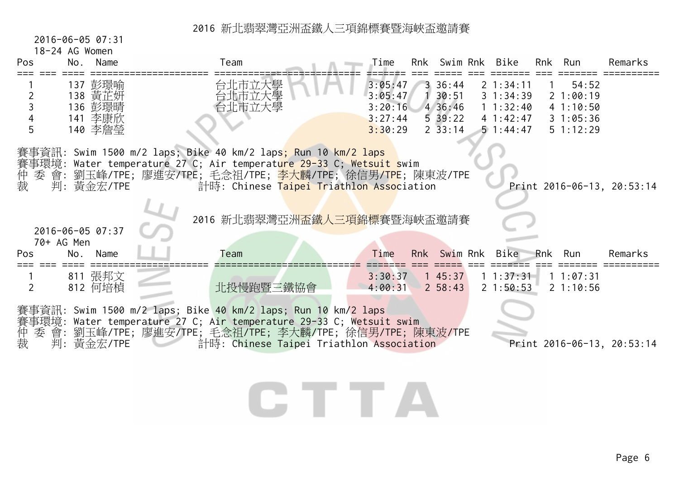2016-06-05 07:31

#### 18-24 AG Women

| Pos            | No.               | Name                                                | Team                                                                                                                                                                                                                                                                                                                   | Time                                                | Rnk | Swim Rnk                                                            | Bike                                                          | Rnk          | Run                                                   | Remarks                    |
|----------------|-------------------|-----------------------------------------------------|------------------------------------------------------------------------------------------------------------------------------------------------------------------------------------------------------------------------------------------------------------------------------------------------------------------------|-----------------------------------------------------|-----|---------------------------------------------------------------------|---------------------------------------------------------------|--------------|-------------------------------------------------------|----------------------------|
| 2<br>5         |                   | 137 彭璟喻<br>138 黃芷妍<br>136 彭璟晴<br>141 李康欣<br>140 李詹瑩 | 台北市立大學<br>台北市立大學<br>台北市立大學                                                                                                                                                                                                                                                                                             | 3:05:47<br>3:05:47<br>3:20:16<br>3:27:44<br>3:30:29 |     | $3\,36:44$<br>30:51<br>4 36:46<br>$5\,39:22$<br>$2\overline{33:14}$ | 21:34:11<br>31:34:39<br>11:32:40<br>41:42:47<br>$5 \t1:44:47$ | $\mathbf{1}$ | 54:52<br>21:00:19<br>41:10:50<br>31:05:36<br>51:12:29 |                            |
| 仲<br>裁         |                   | 判: 黃金宏/TPE<br>2016-06-05 07:37                      | 賽事資訊: Swim 1500 m/2 laps; Bike 40 km/2 laps <mark>; Run 10 km/2 laps</mark><br>賽事環境: Water temperature 27 C; Air temperat <mark>ure 29-3</mark> 3 C; Wetsuit swim<br>委 會: 劉玉峰/TPE; 廖進安/TPE; 毛念祖/TPE; <mark>李大麟/TPE;</mark> 徐信男/TPE; 陳東波/TPE<br>計時: Chinese Taipei Triathlon Association<br>2016 新北翡翠灣亞洲盃鐵人三項錦標賽暨海峽盃邀請賽 |                                                     |     |                                                                     |                                                               |              |                                                       | Print 2016-06-13, 20:53:14 |
| Pos            | 70+ AG Men<br>No. | Name                                                | Team                                                                                                                                                                                                                                                                                                                   | Time                                                |     | Rnk Swim Rnk                                                        | Bike                                                          | Rnk          | Run                                                   | Remarks                    |
|                |                   |                                                     |                                                                                                                                                                                                                                                                                                                        |                                                     |     |                                                                     |                                                               |              |                                                       |                            |
| $\overline{2}$ |                   | 811 張邦文<br>812 何培楨                                  | 北投慢跑暨三鐵協會                                                                                                                                                                                                                                                                                                              | 3:30:37<br>4:00:31                                  |     | 145:37<br>$2\;\;58:43$                                              | $1 \; 1:37:31$<br>21:50:53                                    |              | 11:07:31<br>21:10:56                                  |                            |

## CTTA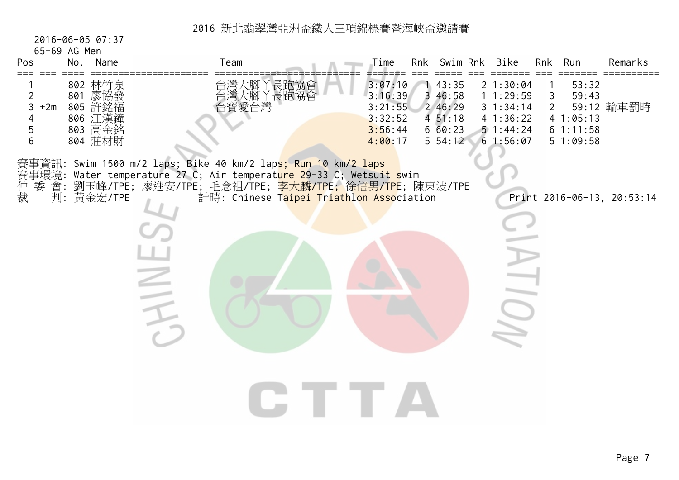2016-06-05 07:37

65-69 AG Men

| UJ UJ AU ITEIT<br>Pos                       | No. | Name                                                           | Team                                                                                                                                                                                                                                                                | Time                                                           | Rnk Swim Rnk                                                            | Bike                                                                 |                     | Rnk Run                                            | Remarks                    |
|---------------------------------------------|-----|----------------------------------------------------------------|---------------------------------------------------------------------------------------------------------------------------------------------------------------------------------------------------------------------------------------------------------------------|----------------------------------------------------------------|-------------------------------------------------------------------------|----------------------------------------------------------------------|---------------------|----------------------------------------------------|----------------------------|
| $\overline{2}$<br>3<br>$+2m$<br>4<br>5<br>6 |     | 802 林竹泉<br>801 廖協發<br>805 許銘福<br>806 江漢鐘<br>803 高金銘<br>804 莊材財 | 台灣大腳丫長跑協會<br>台灣大腳丫長跑協會<br>台寶愛台灣                                                                                                                                                                                                                                     | 3:07:10<br>3:16:39<br>3:21:55<br>3:32:52<br>3:56:44<br>4:00:17 | 43:35<br>3 46:58<br>2 46:29<br>$4\;\;51:18$<br>$6\,60:23$<br>$5\,54:12$ | 21:30:04<br>11:29:59<br>31:34:14<br>41:36:22<br>51:44:24<br>61:56:07 | 3<br>2 <sup>1</sup> | 53:32<br>59:43<br>41:05:13<br>61:11:58<br>51:09:58 | 59:12 輪車罰時                 |
| 賽事環境:<br>仲裁                                 |     | 判: 黃金宏/TPE                                                     | 賽事資訊: Swim 1500 m/2 laps; Bike 40 km/2 lap <mark>s; Run 10 km/2 laps</mark><br>Water temperature 27 C; Air temperature 29-33 C; Wetsuit swim<br>委 會: 劉玉峰/TPE; 廖進安/TPE; 毛念祖/TPE; <mark>李大麟/TPE; 徐信男/TPE</mark> ; 陳東波/TPE<br>計時: Chinese Taipei Triathlon Association |                                                                |                                                                         |                                                                      |                     |                                                    | Print 2016-06-13, 20:53:14 |
|                                             |     |                                                                |                                                                                                                                                                                                                                                                     |                                                                |                                                                         |                                                                      |                     |                                                    |                            |
|                                             |     |                                                                |                                                                                                                                                                                                                                                                     |                                                                |                                                                         |                                                                      |                     |                                                    |                            |
|                                             |     |                                                                |                                                                                                                                                                                                                                                                     |                                                                |                                                                         |                                                                      |                     |                                                    |                            |
|                                             |     |                                                                |                                                                                                                                                                                                                                                                     |                                                                |                                                                         |                                                                      |                     |                                                    |                            |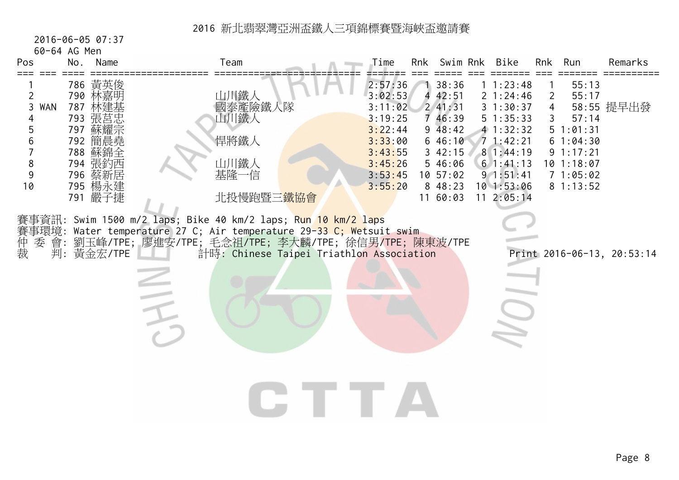2016-06-05 07:37

60-64 AG Men

| Pos                                                 | No. | Name                                                                                                                  | Team                                                                                                                                                                                                                                             | Time                                                                                                       |   | Rnk Swim Rnk                                                                                                     | Bike                                                                                                                                         | Rnk                                 | Run                                                                                                 | Remarks                    |
|-----------------------------------------------------|-----|-----------------------------------------------------------------------------------------------------------------------|--------------------------------------------------------------------------------------------------------------------------------------------------------------------------------------------------------------------------------------------------|------------------------------------------------------------------------------------------------------------|---|------------------------------------------------------------------------------------------------------------------|----------------------------------------------------------------------------------------------------------------------------------------------|-------------------------------------|-----------------------------------------------------------------------------------------------------|----------------------------|
| 2<br><b>WAN</b><br>3<br>4<br>5<br>6<br>8<br>9<br>10 |     | 786 黃英俊<br>790 林嘉明<br>787 林建基<br>793 張莒忠<br>797 蘇耀宗<br>792 簡晨堯<br>788 蘇錦全<br>794 張釣西<br>796 蔡新居<br>795 楊永建<br>791 嚴子捷 | 山川鐵人<br>國泰產險鐵人隊<br>山川鐵人<br>悍將鐵人<br>山川鐵人<br>基隆一信<br>北投慢跑暨三鐵協會                                                                                                                                                                                     | 2:57:36<br>3:02:53<br>3:11:02<br>3:19:25<br>3:22:44<br>3:33:00<br>3:43:55<br>3:45:26<br>3:53:45<br>3:55:20 | 4 | 138:36<br>42:51<br>241:31<br>7 46:39<br>948:42<br>646:10<br>342:15<br>5 46:06<br>10.57:02<br>8 48:23<br>11 60:03 | 11:23:48<br>2 1:24:46<br>31:30:37<br>51:35:33<br>4 1:32:32<br>71:42:21<br>81:44:19<br>61:41:13<br>91:51:41<br>$10$ 1:53:06<br>$11 \t2:05:14$ | 2<br>$\overline{4}$<br>$\mathsf{3}$ | 55:13<br>55:17<br>57:14<br>51:01:31<br>61:04:30<br>91:17:21<br>$10$ 1:18:07<br>71:05:02<br>81:13:52 | 58:55 提早出發                 |
| 賽事環境:<br>仲裁<br>委 會:                                 |     | 判: 黃金宏/TPE                                                                                                            | 賽事資訊: Swim 1500 m/2 laps; Bike 40 km/2 laps; <mark>Run 10 km/2 lap</mark> s<br>Water temperature 27 C; Air temperature 29-33 C; Wetsuit swim<br>劉玉峰/TPE; 廖進安/TPE; 毛念祖/TPE; 李大麟/TPE; 徐信男/TPE; 陳東波/TPE<br>計時: Chinese Taipei Triathlon Association |                                                                                                            |   |                                                                                                                  |                                                                                                                                              |                                     |                                                                                                     | Print 2016-06-13, 20:53:14 |
|                                                     |     |                                                                                                                       |                                                                                                                                                                                                                                                  |                                                                                                            |   |                                                                                                                  |                                                                                                                                              |                                     |                                                                                                     |                            |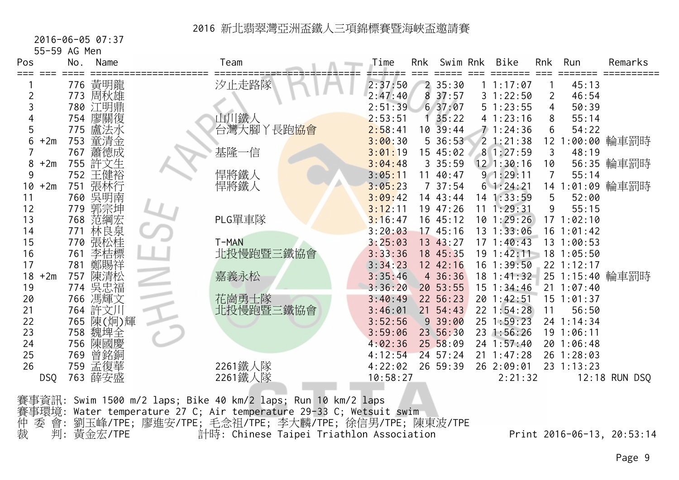#### 2016-06-05 07:37

55-59 AG Men

| Pos         | No. | Name      | Team      | Time     | Rnk | Swim Rnk      | Bike           | Rnk             | Run            | Remarks         |
|-------------|-----|-----------|-----------|----------|-----|---------------|----------------|-----------------|----------------|-----------------|
|             |     | 776 黃明龍   | 汐止走路隊     | 2:37:50  |     | 235:30        | 1 1:17:07      |                 | 45:13          |                 |
| 2           | 773 | 周秋雄       |           | 2:47:40  | 8   | 37:57         | 31:22:50       | $\overline{2}$  | 46:54          |                 |
|             |     | 780 江明鼎   |           | 2:51:39  |     | 637:07        | 51:23:55       | 4               | 50:39          |                 |
|             |     | 754 廖關復   | 山川鐵人      | 2:53:51  |     | 35:22         | 41:23:16       | 8               | 55:14          |                 |
| 5           | 775 | 盧法水       | 台灣大腳丫長跑協會 | 2:58:41  |     | $10\ \ 39:44$ | 71:24:36       | 6               | 54:22          |                 |
| $+2m$<br>6  | 753 | 童清金       |           | 3:00:30  |     | $5\,36:53$    | 21:21:38       | 12 <sub>1</sub> |                | :00:00 輪車罰時     |
|             | 767 | 蕭德成       | 基隆一信      | 3:01:19  |     | 15 45:02      | 81:27:59       | 3               | 48:19          |                 |
| $+2m$<br>8  |     | 755 許文生   |           | 3:04:48  |     | 335:59        | $12$ 1:30:16   | 10              |                | 56:35 輪車罰時      |
| 9           |     | 752 王健裕   | 悍將鐵人      | 3:05:11  | 11  | 40:47         | 91:29:11       | 7               | 55:14          |                 |
| $+2m$<br>10 | 751 | 張林行       | 悍將鐵人      | 3:05:23  |     | 737:54        | 61:24:21       |                 |                | 14 1:01:09 輪車罰時 |
| 11          |     | 760 吳明南   |           | 3:09:42  |     | 14 43:44      | 14 1:33:59     | 5               | 52:00          |                 |
| 12          |     | 779 郭宗坤   |           | 3:12:11  |     | 19 47:26      | 11 1:29:31     | 9               | 55:15          |                 |
| 13          | 768 | 范綱宏       | PLG單車隊    | 3:16:47  |     | 16 45:12      | $10$ 1:29:26   |                 | 171:02:10      |                 |
| 14          | 771 | 林良泉       |           | 3:20:03  |     | 17.45:16      | 13 1:33:06     |                 | $16$ 1:01:42   |                 |
| 15          |     | 770 張松桂   | T-MAN     | 3:25:03  |     | 13 43:27      | 171:40:43      |                 | 13 1:00:53     |                 |
| 16          | 761 | 李桔標       | 北投慢跑暨三鐵協會 | 3:33:36  |     | 18 45:35      | $19$ $1:42:11$ |                 | 18 1:05:50     |                 |
| 17          | 781 | 鄭賜祥       |           | 3:34:23  |     | 12 42:16      | $16$ 1:39:50   |                 | 22 1:12:17     |                 |
| $+2m$<br>18 | 757 | 陳清松       | 嘉義永松      | 3:35:46  |     | 4 36:36       | $18$ $1:41:32$ |                 |                | 25 1:15:40 輪車罰時 |
| 19          |     | 774 吳忠福   |           | 3:36:20  |     | 20 53:55      | $15$ $1:34:46$ |                 | $21 \t1:07:40$ |                 |
| 20          |     | 766 馮輝文   | 花崗勇士隊     | 3:40:49  |     | 22 56:23      | 20 1:42:51     |                 | 15 1:01:37     |                 |
| 21          |     | 764 許文川   | 北投慢跑暨三鐵協會 | 3:46:01  |     | $21 \t54:43$  | 22 1:54:28     | 11              | 56:50          |                 |
| 22          |     | 765 陳(炯)輝 |           | 3:52:56  |     | 939:00        | 25 1:59:23     |                 | 24 1:14:34     |                 |
| 23          | 758 | 魏埤全       |           | 3:59:06  |     | 23 56:30      | 23 1:56:26     |                 | 19 1:06:11     |                 |
| 24          |     | 756 陳國慶   |           | 4:02:36  |     | 25 58:09      | 24 1:57:40     |                 | 20 1:06:48     |                 |
| 25          | 769 | 曾銘銅       |           | 4:12:54  |     | $24 \t57:24$  | $21 \t1:47:28$ |                 | 26 1:28:03     |                 |
| 26          |     | 759 孟復華   | 2261鐵人隊   | 4:22:02  |     | 26 59:39      | 26 2:09:01     |                 | 23 1:13:23     |                 |
| <b>DSQ</b>  | 763 | 薛安盛       | 2261鐵人隊   | 10:58:27 |     |               | 2:21:32        |                 |                | 12:18 RUN DSQ   |
|             |     |           |           |          |     |               |                |                 |                |                 |

賽事資訊: Swim 1500 m/2 laps; Bike 40 km/2 laps; Run 10 km/2 laps 賽事環境: Water temperature 27 C; Air temperature 29-33 C; Wetsuit swim 仲 委 會: 劉玉峰/TPE; 廖進安/TPE; 毛念祖/TPE; 李大麟/TPE; 徐信男/TPE; 陳東波/TPE 裁 判: 黃金宏/TPE 計時: Chinese Taipei Triathlon Association Print 2016-06-13, 20:53:14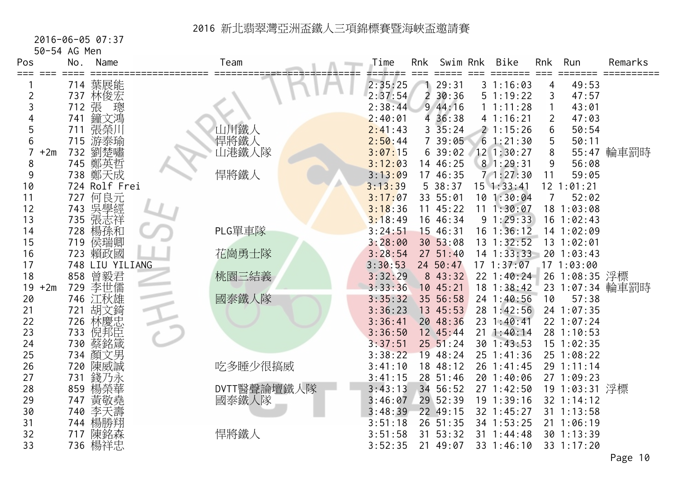#### 2016-06-05 07:37

50-54 AG Men

| Pos<br>$== ==$ |       | No. | Name            | Team          | Time    | <b>Rnk</b>     | Swim Rnk      | <b>Bike</b>    | <b>Rnk</b>     | Run            | Remarks         |
|----------------|-------|-----|-----------------|---------------|---------|----------------|---------------|----------------|----------------|----------------|-----------------|
|                |       |     | 714 葉展能         |               | 2:35:25 |                | 29:31         | 31:16:03       | 4              | 49:53          |                 |
| 2              |       |     | 737 林俊宏         |               | 2:37:54 | $\overline{2}$ | 30:36         | 51:19:22       | 3              | 47:57          |                 |
| 3              |       | 712 | 張<br>璁          |               | 2:38:44 |                | 944:16        | 1 1:11:28      | 1              | 43:01          |                 |
|                |       | 741 | 鐘文鴻             |               | 2:40:01 |                | 4 36:38       | 41:16:21       | $\overline{2}$ | 47:03          |                 |
| 5              |       | 711 | 張榮川             | 山川鐵人          | 2:41:43 |                | $3\,35:24$    | 21:15:26       | 6              | 50:54          |                 |
| 6              |       | 715 | 游泰瑜             | 悍將鐵人<br>山港鐵人隊 | 2:50:44 |                | 7 39:05       | 61:21:30       | 5              | 50:11          |                 |
|                | $+2m$ | 732 | 劉楚嘯             |               | 3:07:15 |                | 639:02        | 12 1:30:27     | 8              |                | 55:47 輪車罰時      |
| 8              |       |     | 745 鄭英哲         |               | 3:12:03 |                | 14 46:25      | 8 1:29:31      | $9$            | 56:08          |                 |
| 9              |       |     | 738 鄭天成         | 悍將鐵人          | 3:13:09 |                | 17 46:35      | 71:27:30       | 11             | 59:05          |                 |
| 10             |       |     | 724 Rolf Frei   |               | 3:13:39 |                | 538:37        | $15$ $1:33:41$ |                | 12 1:01:21     |                 |
| 11             |       | 727 | 何良元             |               | 3:17:07 |                | 33 55:01      | 101:30:04      | 7              | 52:02          |                 |
| 12             |       | 743 | 吳學經             |               | 3:18:36 |                | 1145:22       | 11 1:30:07     |                | 18 1:03:08     |                 |
| 13             |       |     | 735 張志祥         |               | 3:18:49 |                | 16 46:34      | 91:29:33       |                | $16$ 1:02:43   |                 |
| 14             |       | 728 | 楊孫和             | PLG單車隊        | 3:24:51 |                | 15 46:31      | 16 1:36:12     |                | 14 1:02:09     |                 |
| 15             |       | 719 | 侯瑞卿             |               | 3:28:00 |                | 30 53:08      | 13 1:32:52     |                | 13 1:02:01     |                 |
| 16             |       | 723 | 賴政國             | 花崗勇士隊         | 3:28:54 |                | $27 \t51:40$  | $14$ 1:33:33   |                | 20 1:03:43     |                 |
| 17             |       |     | 748 LIU YILIANG |               | 3:30:53 |                | 24 50:47      | 171:37:07      |                | 171:03:00      |                 |
| 18             |       | 858 | 曾毅君             | 桃園三結義         | 3:32:29 |                | 8 43:32       | 22 1:40:24     |                | 26 1:08:35 浮標  |                 |
| 19             | $+2m$ | 729 | 李世儒             |               | 3:33:36 |                | 10 45:21      | $18$ 1:38:42   |                |                | 23 1:07:34 輪車罰時 |
| 20             |       |     | 746 江秋雄         | 國泰鐵人隊         | 3:35:32 |                | 35 56:58      | 24 1:40:56     | 10             | 57:38          |                 |
| 21             |       | 721 | 胡文錡             |               | 3:36:23 |                | 13 45:53      | 28 1:42:56     |                | 24 1:07:35     |                 |
| 22             |       | 726 | 林慶忠             |               | 3:36:41 |                | 20 48:36      | 23 1:40:41     |                | 22 1:07:24     |                 |
| 23             |       | 733 | 倪邦臣             |               | 3:36:50 |                | 12 45:44      | 211:40:14      |                | 28 1:10:53     |                 |
| 24             |       | 730 | 蔡銘箴             |               | 3:37:51 |                | $25\ \ 51:24$ | 30 1:43:53     |                | $15$ $1:02:35$ |                 |
| 25             |       |     | 734 顏文男         |               | 3:38:22 |                | 19 48:24      | 25 1:41:36     |                | 25 1:08:22     |                 |
| 26             |       | 720 | 陳威誠             | 吃多睡少很搞威       | 3:41:10 |                | 18 48:12      | 26 1:41:45     |                | 29 1:11:14     |                 |
| 27             |       | 731 | 錢乃永             |               | 3:41:15 |                | 28 51:46      | 20 1:40:06     |                | 27 1:09:23     |                 |
| 28             |       | 859 | 楊榮華             | DVTT醫聲論壇鐵人隊   | 3:43:13 |                | 34 56:52      | 27 1:42:50     |                | 19 1:03:31 浮標  |                 |
| 29             |       | 747 | 黃敬堯             | 國泰鐵人隊         | 3:46:07 |                | 29 52:39      | $19$ $1:39:16$ |                | 32 1:14:12     |                 |
| 30             |       | 740 | 李天壽             |               | 3:48:39 |                | 22 49:15      | 32 1:45:27     |                | 31 1:13:58     |                 |
| 31             |       | 744 | 楊勝翔             |               | 3:51:18 |                | 26 51:35      | 34 1:53:25     |                | 211:06:19      |                 |
| 32             |       | 717 | 陳銘森             | 悍將鐵人          | 3:51:58 | 31             | 53:32         | 31 1:44:48     |                | 30 1:13:39     |                 |
| 33             |       |     | 736 楊祥忠         |               | 3:52:35 |                | 21 49:07      | 33 1:46:10     |                | 33 1:17:20     |                 |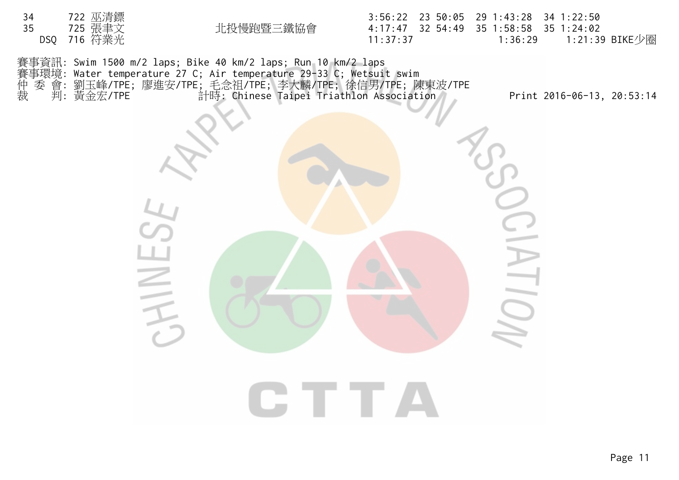

裁 判: 黃金宏/TPE 計時: Chinese Taipei Triathlon Association Print 2016-06-13, 20:53:14

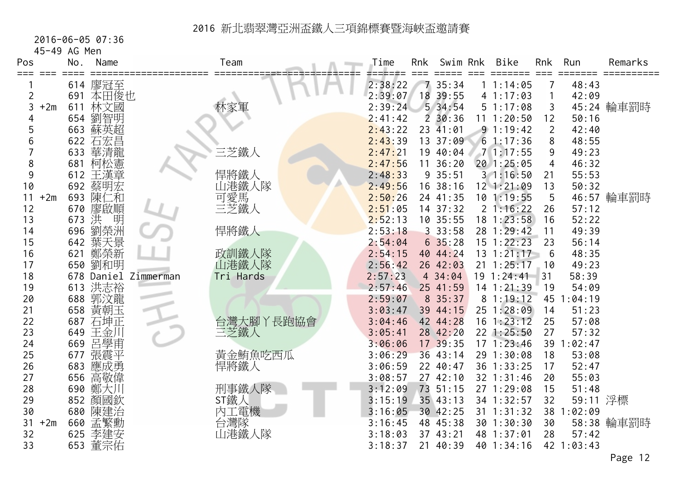#### 2016-06-05 07:36

45-49 AG Men

| Pos         | No.        | Name               |                      | Team                  | Time               | Rnk | Swim Rnk             | <b>Bike</b>              | Rnk            | Run            | Remarks    |
|-------------|------------|--------------------|----------------------|-----------------------|--------------------|-----|----------------------|--------------------------|----------------|----------------|------------|
| ===<br>≔≕≕  |            | 614 廖冠至            |                      |                       | 2:38:22            |     | 7 35:34              | 1:14:05                  |                | 48:43          |            |
| 2           |            | 691 本田俊也           |                      |                       | 2:39:07            | 18  | 39:55                | 41:17:03                 | 1              | 42:09          |            |
| $+2m$<br>3  | 611        | 林文國                |                      | 林家軍                   | 2:39:24            |     | 534:54               | 51:17:08                 | 3              |                | 45:24 輪車罰時 |
|             | 654        | 劉智明                |                      |                       | 2:41:42            |     | $2\,30:36$           | 11 1:20:50               | 12             | 50:16          |            |
| 5           |            | 663 蘇英超            |                      |                       | 2:43:22            |     | 23 41:01             | 91:19:42                 | $\overline{2}$ | 42:40          |            |
| 6           | 622        | 石宏昌                |                      |                       | 2:43:39            |     | 13 37:09             | 61:17:36                 | 8              | 48:55          |            |
|             | 633        | 華清龍                |                      | 三芝鐵人                  | 2:47:21            |     | 19 40:04             | 71:17:55                 | 9              | 49:23          |            |
| 8           | 681        | 柯松憲                |                      |                       | 2:47:56            | 11  | 36:20                | 201:25:05                | $\overline{4}$ | 46:32          |            |
| 9           | 612        | 王漢章                |                      | 悍將鐵人                  | 2:48:33            |     | 9 35:51              | 31:16:50                 | 21             | 55:53          |            |
| 10          | 692        | 蔡明宏                |                      | 山港鐵人隊                 | 2:49:56            |     | 16 38:16             | $12$ $1:21:09$           | 13             | 50:32          |            |
| 11<br>$+2m$ | 693        | 陳仁和                |                      | 二<br> 可愛馬<br> 三芝鐵人    | 2:50:26            |     | 24 41:35             | 101:19:55                | 5              |                | 46:57 輪車罰時 |
| 12          | 670        | 廖啟順                |                      |                       | 2:51:05            |     | 14 37:32             | 21:16:22                 | 26             | 57:12          |            |
| 13          | 673        | 洪<br>明             |                      |                       | 2:52:13            |     | 10 35:55             | 18 1:23:58               | 16             | 52:22          |            |
| 14          | 696        | 劉榮洲                |                      | 悍將鐵人                  | 2:53:18            |     | 33:58                | 28 1:29:42               | 11             | 49:39          |            |
| 15          | 642        | 葉天景                |                      |                       | 2:54:04            |     | 635:28               | 15 1:22:23               | 23             | 56:14          |            |
| 16          | 621        | 鄭榮新                |                      | 政訓鐵人隊                 | 2:54:15            |     | 40 44:24             | $13 \t1:21:17$           | 6              | 48:35          |            |
| 17          |            | 650 劉和明            |                      | 山港鐵人隊                 | 2:56:42            |     | 26 42:03             | $21 \t1:25:17$           | 10             | 49:23          |            |
| 18          |            |                    | 678 Daniel Zimmerman | Tri Hards             | 2:57:23            |     | 4 34:04              | $19 \t1:24:41$           | 31             | 58:39          |            |
| 19          | 613        | 洪志裕                |                      |                       | 2:57:46            |     | 25 41:59             | 14 1:21:39               | 19             | 54:09          |            |
| 20          |            | 688 郭汶龍            |                      |                       | 2:59:07            |     | 8 35:37              | 81:19:12                 | 45 1           | 1:04:19        |            |
| 21          | 658        | 黃朝玉                |                      |                       | 3:03:47            |     | 39 44:15             | 25 1:28:09               | 14             | 51:23          |            |
| 22          | 687        | 石坤正                |                      | 台灣大腳丫長跑協會             | 3:04:46            |     | 42 44:28             | $16$ 1:23:12             | 25             | 57:08          |            |
| 23          | 649        | 王金川                |                      | 三芝鐵人                  | 3:05:41            |     | 28 42:20             | 22 1:25:50               | 27             | 57:32          |            |
| 24          | 669        | 呂學甫                |                      |                       | 3:06:06            |     | 17 39:35             | 171:23:46                |                | 39 1:02:47     |            |
| 25          | 677        | 張震平                |                      | 黃金鮪魚吃西瓜               | 3:06:29            |     | 36 43:14             | 29 1:30:08               | 18             | 53:08          |            |
| 26          | 683        | 應成勇                |                      | 悍將鐵人                  | 3:06:59            |     | 22 40:47             | 36 1:33:25               | 17             | 52:47          |            |
| 27          | 656        | 高敬偉                |                      |                       | 3:08:57<br>3:12:09 |     | 27 42:10<br>73 51:15 | 32 1:31:46<br>27 1:29:08 | 20<br>15       | 55:03<br>51:48 |            |
| 28<br>29    | 690<br>852 | 鄭大川<br>顏國欽         |                      | 刑事鐵人隊<br>ST鐵人         | 3:15:19            |     | 35 43:13             | 34 1:32:57               | 32             | 59:11 浮標       |            |
| 30          |            |                    |                      |                       | 3:16:05            |     | 30 42:25             | 31 1:31:32               |                | 38 1:02:09     |            |
| $+2m$<br>31 |            | 680 陳建治<br>660 孟繁勳 |                      | )内工電機<br>台灣隊<br>山港鐵人隊 | 3:16:45            |     | 48 45:38             | 30 1:30:30               | 30             |                | 58:38 輪車罰時 |
| 32          | 625        | 李建安                |                      |                       | 3:18:03            |     | 37 43:21             | 48 1:37:01               | 28             | 57:42          |            |
| 33          |            | 653 董宗佑            |                      |                       | 3:18:37            |     | 21 40:39             | 40 1:34:16               |                | 42 1:03:43     |            |
|             |            |                    |                      |                       |                    |     |                      |                          |                |                |            |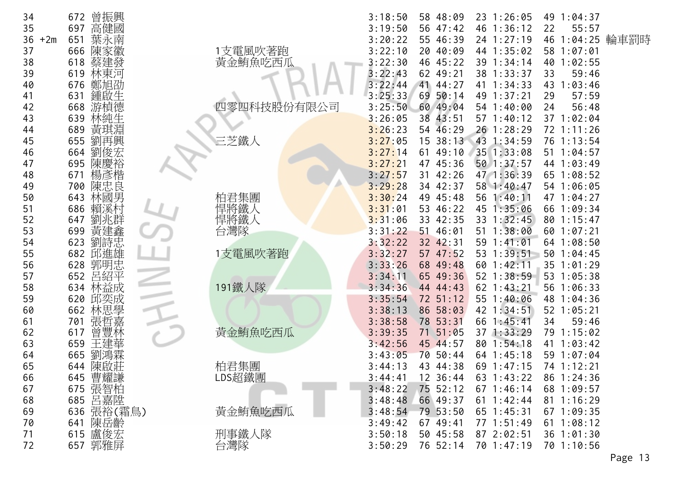| 34          | 曾振興<br>672 |              | 3:18:50<br>58 48:09<br>23 1:26:05<br>49 1:04:37      |
|-------------|------------|--------------|------------------------------------------------------|
| 35          | 高健國<br>697 |              | 3:19:50<br>56 47:42<br>46 1:36:12<br>22<br>55:57     |
| 36<br>$+2m$ | 葉永南<br>651 |              | 46 1:04:25 輪車罰時<br>24 1:27:19<br>3:20:22<br>55 46:39 |
| 37          | 666<br>陳家徽 | 1支電風吹著跑      | 3:22:10<br>20 40:09<br>44 1:35:02<br>58 1:07:01      |
| 38          | 618<br>蔡建發 | 黃金鮪魚吃西瓜      | 3:22:30<br>46 45:22<br>39 1:34:14<br>40 1:02:55      |
| 39          | 619<br>林東河 |              | 3:22:43<br>38 1:33:37<br>62 49:21<br>59:46<br>33     |
| 40          | 676<br>鄭旭劭 |              | 3:22:44<br>41 44:27<br>41 1:34:33<br>1:03:46<br>43   |
| 41          | 鍾啟生<br>631 |              | 3:25:33<br>69<br>50:14<br>49 1:37:21<br>57:59<br>29  |
| 42          | 游楨德<br>668 | 四零四科技股份有限公司  | 3:25:50<br>60 49:04<br>54 1:40:00<br>56:48<br>24     |
| 43          | 639<br>林純生 |              | 3:26:05<br>38<br>43:51<br>57 1:40:12<br>37 1:02:04   |
| 44          | 黃琪淵<br>689 |              | 3:26:23<br>54 46:29<br>$26$ 1:28:29<br>72 1:11:26    |
| 45          | 劉再興<br>655 | 三芝鐵人         | 3:27:05<br>43 1:34:59<br>15<br>38:13<br>76 1:13:54   |
| 46          | 劉俊宏<br>664 |              | 49:10<br>35 1:33:08<br>51 1:04:57<br>3:27:14<br>61   |
| 47          | 陳慶裕<br>695 |              | 3:27:21<br>47 45:36<br>$50$ 1:37:57<br>44 1:03:49    |
| 48          | 楊彥楷<br>671 |              | 47 1:36:39<br>3:27:57<br>31 42:26<br>65 1:08:52      |
| 49          | 陳忠良<br>700 |              | 3:29:28<br>34 42:37<br>58 1:40:47<br>54 1:06:05      |
| 50          | 林國男<br>643 |              | 3:30:24<br>49 45:48<br>56 1:40:11<br>47 1:04:27      |
| 51          | 686<br>賴溪村 | 柏君集團<br>悍將鐵人 | 3:31:01<br>53 46:22<br>45 1:35:06<br>66 1:09:34      |
| 52          | 劉兆群<br>647 | 悍將鐵人<br>台灣隊  | 3:31:06<br>33 42:35<br>33 1:32:45<br>80 1:15:47      |
| 53          | 黃建鑫<br>699 |              | 3:31:22<br>51 46:01<br>$51 \t1:38:00$<br>60 1:07:21  |
| 54          | 劉詩忠<br>623 |              | 3:32:22<br>32 42:31<br>59 1:41:01<br>64 1:08:50      |
| 55          | 邱進雄<br>682 | 1支電風吹著跑      | 3:32:27<br>57 47:52<br>53 1:39:51<br>50 1:04:45      |
| 56          | 郭明忠<br>628 |              | 3:33:26<br>68 49:48<br>60 1:42:11<br>35 1:01:29      |
| 57          | 呂紹平<br>652 |              | 3:34:11<br>65 49:36<br>52 1:38:59<br>53 1:05:38      |
| 58          | 634<br>林益成 | 191鐵人隊       | 3:34:36<br>$62$ 1:43:21<br>56 1:06:33<br>44 44:43    |
| 59          | 邱奕成<br>620 |              | 55 1:40:06<br>3:35:54<br>72 51:12<br>48 1:04:36      |
| 60          | 林思學<br>662 |              | 42 1:34:51<br>3:38:13<br>86 58:03<br>52 1:05:21      |
| 61          | 張哲嘉<br>701 |              | 3:38:58<br>78 53:31<br>66 1:45:41<br>34<br>59:46     |
| 62          | 曾豐林<br>617 | 黃金鮪魚吃西瓜      | 3:39:35<br>51:05<br>371:33:29<br>79 1:15:02<br>71    |
| 63          | 王建華<br>659 |              | 80 1:54:18<br>3:42:56<br>45 44:57<br>41 1:03:42      |
| 64          | 665<br>劉鴻霖 |              | 70<br>50:44<br>59 1:07:04<br>3:43:05<br>64 1:45:18   |
| 65          | 陳啟莊<br>644 | 柏君集團         | 3:44:13<br>43 44:38<br>69 1:47:15<br>74 1:12:21      |
| 66          | 曹耀謙<br>645 | LDS超鐵團       | 3:44:41<br>12 36:44<br>63 1:43:22<br>86 1:24:36      |
| 67          | 675 張智柏    |              | 3:48:22<br>75 52:12<br>$67$ 1:46:14<br>68 1:09:57    |
| 68          | 呂嘉陞<br>685 |              | 3:48:48<br>66 49:37<br>61 1:42:44<br>$81 \t1:16:29$  |
| 69          | 636 張裕(霜鳥) | 黃金鮪魚吃西瓜      | 3:48:54<br>79 53:50<br>65 1:45:31<br>671:09:35       |
| 70          | 陳岳齡<br>641 |              | 77 1:51:49<br>3:49:42<br>67 49:41<br>61 1:08:12      |
| 71          | 615 盧俊宏    | 刑事鐵人隊        | 3:50:18<br>50 45:58<br>87 2:02:51<br>36 1:01:30      |
| 72          | 657 郭雅屏    | 台灣隊          | 76 52:14<br>3:50:29<br>70 1:47:19<br>70 1:10:56      |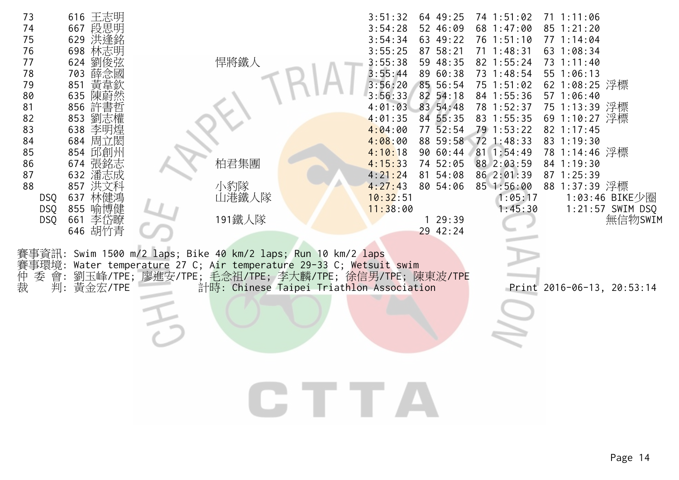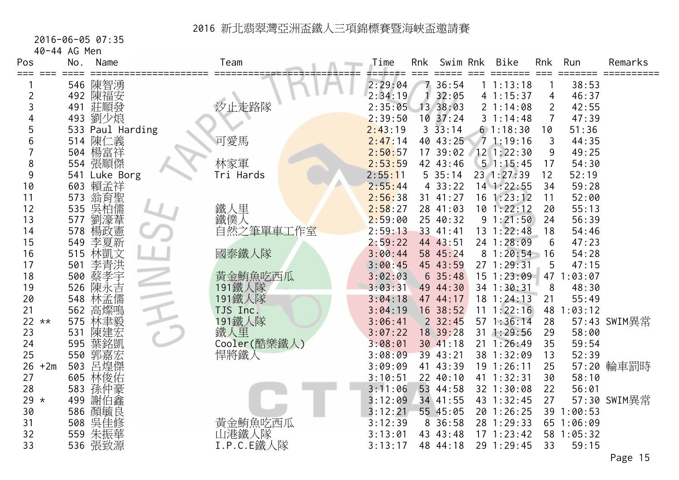2016-06-05 07:35

40-44 AG Men

| Pos<br>===  | No. | Name             | Team         | Time    | Rnk | Swim Rnk    | <b>Bike</b>    | <b>Rnk</b>     | Run        | Remarks      |
|-------------|-----|------------------|--------------|---------|-----|-------------|----------------|----------------|------------|--------------|
|             |     | 546 陳智湧          |              | 2:29:04 |     | 36:54       | 11:13:18       |                | 38:53      |              |
| 2           |     | 492 陳福安          |              | 2:34:19 |     | 32:05       | 41:15:37       | 4              | 46:37      |              |
| 3           | 491 | 莊順發              | 汐止走路隊        | 2:35:05 |     | 13 38:03    | 21:14:08       | $\overline{2}$ | 42:55      |              |
| 4           | 493 | 劉少烺              |              | 2:39:50 |     | 10.37:24    | 31:14:48       | $\overline{7}$ | 47:39      |              |
| 5           |     | 533 Paul Harding |              | 2:43:19 |     | 33:14       | 61:18:30       | 10             | 51:36      |              |
| 6           |     | 514 陳仁義          | 可愛馬          | 2:47:14 |     | 40 43:25    | 71:19:16       | 3              | 44:35      |              |
|             |     | 504 楊富祥          |              | 2:50:57 |     | 17 39:02    | 12 1:22:30     | 9              | 49:25      |              |
| 8           |     | 554 張順傑          | 林家軍          | 2:53:59 |     | 42 43:46    | 51:15:45       | 17             | 54:30      |              |
| 9           | 541 | Luke Borg        | Tri Hards    | 2:55:11 |     | 535:14      | 23 1:27:39     | 12             | 52:19      |              |
| 10          | 603 | 賴孟祥              |              | 2:55:44 |     | 433:22      | $14$ 1:22:55   | 34             | 59:28      |              |
| 11          | 573 | 翁育聖              |              | 2:56:38 |     | 31 41:27    | 16 1:23:12     | 11             | 52:00      |              |
| 12          | 535 | 吳柏儒              | 鐵人里          | 2:58:27 |     | 28 41:03    | 10 1:22:12     | 20             | 55:13      |              |
| 13          | 577 | 劉濠葦              | 鐵僕人          | 2:59:00 |     | 25 40:32    | 91:21:50       | 24             | 56:39      |              |
| 14          | 578 | 楊政憲              | 自然之筆單車工作室    | 2:59:13 |     | 33 41:41    | 13 1:22:48     | 18             | 54:46      |              |
| 15          | 549 | 李夏新              |              | 2:59:22 |     | 44 43:51    | 24 1:28:09     | 6              | 47:23      |              |
| 16          | 515 | 林凱文              | 國泰鐵人隊        | 3:00:44 |     | 58 45:24    | 81:20:54       | 16             | 54:28      |              |
| 17          | 501 | 李青洪              |              | 3:00:45 |     | 45 43:59    | 27 1:29:31     | 5              | 47:15      |              |
| 18          | 500 | 蔡孝宇              | 黃金鮪魚吃西瓜      | 3:02:03 |     | 635:48      | 15 1:23:09     | 47             | 1:03:07    |              |
| 19          | 526 | 陳永吉              | 191鐵人隊       | 3:03:31 |     | 49 44:30    | 34 1:30:31     | 8              | 48:30      |              |
| 20          | 548 | 林孟儒              | 191鐵人隊       | 3:04:18 |     | 47 44:17    | $18$ 1:24:13   | 21             | 55:49      |              |
| 21          | 562 | 高燦鳴              | TJS Inc.     | 3:04:19 |     | 16 38:52    | $11 \t1:22:16$ |                | 48 1:03:12 |              |
| $22 * *$    | 575 | 林聿毅              | 191鐵人隊       | 3:06:41 |     | $2 \t32:45$ | 57 1:36:14     | 28             |            | 57:43 SWIM異常 |
| 23          | 531 | 陳建宏              | 鐵人里          | 3:07:22 |     | 18 39:28    | 31 1:29:56     | 29             | 58:00      |              |
| 24          | 595 | 葉銘凱              | Cooler(酷樂鐵人) | 3:08:01 |     | 30 41:18    | $21 \t1:26:49$ | 35             | 59:54      |              |
| 25          | 550 | 郭嘉宏              | 悍將鐵人         | 3:08:09 |     | 39 43:21    | 38 1:32:09     | 13             | 52:39      |              |
| 26<br>$+2m$ | 503 | 呂煌傑              |              | 3:09:09 |     | 41 43:39    | 19 1:26:11     | 25             |            | 57:20 輪車罰時   |
| 27          |     | 605 林俊佑          |              | 3:10:51 |     | 22 40:10    | 41 1:32:31     | 30             | 58:10      |              |
| 28          |     | 583 孫仲豪          |              | 3:11:06 |     | 53 44:58    | 32 1:30:08     | 22             | 56:01      |              |
| 29 $*$      | 499 | 謝伯鑫              |              | 3:12:09 |     | 34 41:55    | 43 1:32:45     | 27             |            | 57:30 SWIM異常 |
| 30          |     | 586 顏毓良          |              | 3:12:21 |     | 55 45:05    | 20 1:26:25     |                | 39 1:00:53 |              |
| 31          | 508 | 吳佳修              | 黃金鮪魚吃西瓜      | 3:12:39 |     | 8 36:58     | 28 1:29:33     |                | 65 1:06:09 |              |
| 32          |     | 559 朱振華          | 山港鐵人隊        | 3:13:01 |     | 43 43:48    | 171:23:42      |                | 58 1:05:32 |              |
| 33          | 536 | 張致源              | I.P.C.E鐵人隊   | 3:13:17 |     | 48 44:18    | 29 1:29:45     | 33             | 59:15      |              |
|             |     |                  |              |         |     |             |                |                |            | Page 15      |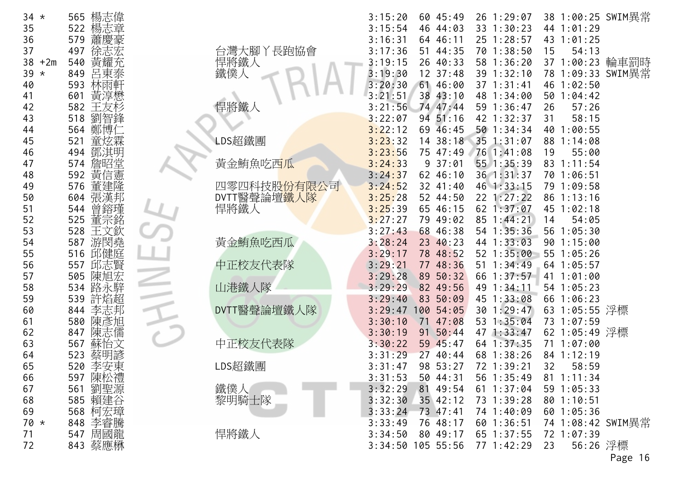| 34       | $^\star$ | 565        |            |
|----------|----------|------------|------------|
| 35       |          | 522        |            |
| 36       |          | 579        |            |
| 37       |          | 497        |            |
| 38       | $+2m$    | 540        |            |
| 39       | $\star$  | 849        |            |
| 40       |          | 593        | 林雨車        |
| 41       |          | 601        | 黄酒<br>喜懋   |
| 42<br>43 |          | 582<br>518 | 劉智鋒        |
| 44       |          | 564        | 鄭博         |
| 45       |          | 521        | 炫霜         |
| 46       |          | 494        |            |
| 47       |          | 574        | 傇          |
| 48       |          | 592        |            |
| 49       |          | 576        |            |
| 50       |          | 604        | =<br>桑漢    |
| 51       |          | 544        | 曾鎔瑾        |
| 52       |          | 525        |            |
| 53       |          | 528        |            |
| 54       |          | 587        | 游閔堯        |
| 55       |          | 516        | 邛健原        |
| 56<br>57 |          | 557<br>505 | 邱志         |
| 58       |          | 534        | 陳旭         |
| 59       |          | 539        | :烙ま        |
| 60       |          | 844        |            |
| 61       |          | 580        | 陳j         |
| 62       |          | 847        | 陳志         |
| 63       |          | 567        | 蘇          |
| 64       |          | 523        | 蔡明諺<br>李安東 |
| 65       |          | 520        |            |
| 66       |          | 597        | 禮<br>陳松    |
| 67       |          | 561        | 劉聖源        |
| 68       |          | 585        | 賴建谷        |
| 69<br>70 | $^\star$ | 568<br>848 | 柯宏璋<br>李睿騰 |
| 71       |          | 547        | 周國龍        |
| 72       |          | 843        | 蔡應楙        |
|          |          |            |            |

| $34 *$        | 楊志偉<br>565 |                                   | 3:15:20<br>60 45:49    | 26 1:29:07 | 38 1:00:25 SWIM異常 |
|---------------|------------|-----------------------------------|------------------------|------------|-------------------|
| 35            | 楊志章<br>522 |                                   | 3:15:54<br>46 44:03    | 33 1:30:23 | 44 1:01:29        |
| 36            | 蕭<br>579   |                                   | 3:16:31<br>64 46:11    | 25 1:28:57 | 43 1:01:25        |
| 37            | 497        | 台灣大腳丫長跑協會                         | 3:17:36<br>51 44:35    | 70 1:38:50 | 54:13<br>15       |
| 38<br>$+2m$   | 黃耀充<br>540 |                                   | 3:19:15<br>26 40:33    | 58 1:36:20 | 37 1:00:23 輪車罰時   |
| 39<br>$\star$ | 呂東泰<br>849 | 悍將鐵人<br>鐵僕人                       | 12 37:48<br>3:19:30    | 39 1:32:10 | 78 1:09:33 SWIM異常 |
| 40            | 593<br>林雨軒 |                                   | 3:20:30<br>61 46:00    | 37 1:31:41 | 46 1:02:50        |
| 41            | 黃淳懋<br>601 |                                   | 3:21:51<br>38 43:10    | 48 1:34:00 | 50 1:04:42        |
| 42            | 582<br>王友杉 | 悍將鐵人                              | 74 47:44<br>3:21:56    | 59 1:36:47 | 57:26<br>26       |
| 43            | 518<br>劉智鋒 |                                   | 3:22:07<br>94 51:16    | 42 1:32:37 | 58:15<br>31       |
| 44            | 鄭博仁<br>564 |                                   | 3:22:12<br>69 46:45    | 501:34:34  | 40 1:00:55        |
| 45            | 童炫霖<br>521 | LDS超鐵團                            | 3:23:32<br>14 38:18    | 35 1:31:07 | 88 1:14:08        |
| 46            | 鄧淇明<br>494 |                                   | 3:23:56<br>75 47:49    | 76 1:41:08 | 19<br>55:00       |
| 47            | 詹昭堂<br>574 | 黃金鮪魚吃西 <mark>瓜</mark>             | 3:24:33<br>937:01      | 55 1:35:39 | 83 1:11:54        |
| 48            | 黃信憲<br>592 |                                   | 3:24:37<br>62 46:10    | 36 1:31:37 | 70 1:06:51        |
| 49            | 董建隆<br>576 | 四零四科技股份有限公司                       | 3:24:52<br>32 41:40    | 46 1:33:15 | 79 1:09:58        |
| 50            | 張漢邦<br>604 |                                   | 3:25:28<br>52 44:50    | 22 1:27:22 | 86 1:13:16        |
| 51            | 544<br>曾鎔瑾 | DVTT醫聲論壇 <mark>鐵人隊</mark><br>悍將鐵人 | 3:25:39<br>65 46:15    | 62 1:37:07 | 45 1:02:18        |
| 52            | 董宗銘<br>525 |                                   | 3:27:27<br>79 49:02    | 85 1:44:21 | 54:05<br>14       |
| 53            | 王文欽<br>528 |                                   | 3:27:43<br>68 46:38    | 54 1:35:36 | 56 1:05:30        |
| 54            | 游閔堯<br>587 | 黃金鮪魚吃西瓜                           | 3:28:24<br>23 40:23    | 44 1:33:03 | 90 1:15:00        |
| 55            | 邱健庭<br>516 |                                   | 3:29:17<br>78 48:52    | 52 1:35:00 | 55 1:05:26        |
| 56            | 邱志賢<br>557 | 中正校友代表隊                           | 3:29:21<br>77 48:36    | 51 1:34:49 | 64 1:05:57        |
| 57            | 505<br>陳旭宏 |                                   | 3:29:28<br>89 50:32    | 66 1:37:57 | 41 1:01:00        |
| 58            | 路永騂<br>534 | 山港鐵人隊                             | 3:29:29<br>82 49:56    | 49 1:34:11 | 54 1:05:23        |
| 59            | 許焰超<br>539 |                                   | 3:29:40<br>83 50:09    | 45 1:33:08 | 66 1:06:23        |
| 60            | 844<br>李志邦 | DVTT醫聲論壇鐵人隊                       | 3:29:47<br>100 54:05   | 30 1:29:47 | 63 1:05:55 浮標     |
| 61            | 陳彥旭<br>580 |                                   | 3:30:10<br>47:08<br>71 | 53 1:35:04 | 73 1:07:59        |
| 62            | 陳志儒<br>847 |                                   | 3:30:19<br>50:44<br>91 | 47 1:33:47 | 62 1:05:49 浮標     |
| 63            | 蘇怡文<br>567 | 中正校友代表隊                           | 3:30:22<br>59 45:47    | 64 1:37:35 | 71 1:07:00        |
| 64            | 523<br>蔡明諺 |                                   | 3:31:29<br>27<br>40:44 | 68 1:38:26 | 84 1:12:19        |
| 65            | 李安東<br>520 | LDS超鐵團                            | 3:31:47<br>98 53:27    | 72 1:39:21 | 58:59<br>32       |
| 66            | 597 陳松禮    |                                   | 3:31:53<br>50 44:31    | 56 1:35:49 | 81 1:11:34        |
| 67            | 劉聖源<br>561 | 鐵僕人                               | 3:32:29<br>81 49:54    | 61 1:37:04 | 59 1:05:33        |
| 68            | 585 賴建谷    | 黎明騎士隊                             | 3:32:30<br>35 42:12    | 73 1:39:28 | 801:10:51         |
| 69            | 568 柯宏璋    |                                   | 3:33:24<br>73 47:41    | 74 1:40:09 | 60 1:05:36        |
| $70 *$        | 848 李睿騰    |                                   | 3:33:49<br>76 48:17    | 60 1:36:51 | 74 1:08:42 SWIM異常 |
| 71            | 547 周國龍    | 悍將鐵人                              | 3:34:50<br>80 49:17    | 65 1:37:55 | 72 1:07:39        |
| 72            | 843 蔡應楙    |                                   | 3:34:50 105 55:56      | 77 1:42:29 | 56:26 浮標<br>23    |
|               |            |                                   |                        |            |                   |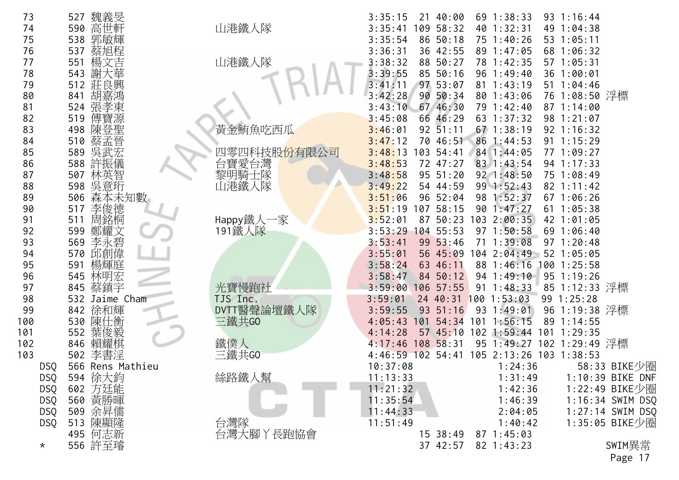| 魏義旻<br>73<br>527<br>3:35:15<br>21 40:00                                            |                    |
|------------------------------------------------------------------------------------|--------------------|
| 山港鐵人隊<br>高世軒<br>590<br>3:35:41<br>109<br>58:32<br>40 1:32:31<br>74                 | 49 1:04:38         |
| 郭敏輝<br>75<br>538<br>3:35:54<br>86 50:18<br>75 1:40:26                              | 53 1:05:11         |
| 蔡旭程<br>76<br>537<br>3:36:31<br>36 42:55<br>89 1:47:05                              | 68 1:06:32         |
| 山港鐵人隊<br>楊文吉<br>551<br>3:38:32<br>88 50:27<br>78 1:42:35<br>77                     | 57 1:05:31         |
| 謝大華<br>78<br>543<br>3:39:55<br>85 50:16<br>96 1:49:40                              | 36 1:00:01         |
| 512 莊良興<br>97 53:07<br>79<br>3:41:11<br>811:43:19                                  | $51 \t1:04:46$     |
| 胡嘉鴻<br>3:42:28<br>80<br>841<br>90 50:34<br>80 1:43:06                              | 76 1:08:50 浮標      |
| 張孝東<br>3:43:10<br>67 46:30<br>79 1:42:40<br>81<br>524                              | 87 1:14:00         |
| 82<br>傅寶源<br>66 46:29<br>519<br>3:45:08<br>63 1:37:32                              | 98 1:21:07         |
| 黃金鮪魚吃西瓜<br>陳登聖<br>83<br>498<br>3:46:01<br>$92 \, 51:11$<br>$67$ $1:38:19$          | 92 1:16:32         |
| 蔡孟晉<br>510<br>70 46:51<br>84<br>3:47:12<br>86 1:44:53                              | $91 \t1:15:29$     |
| 吳武宏<br>85<br>589<br>四零四科技股 <del>份</del> 有限公司<br>3:48:13<br>103 54:41<br>84 1:44:05 | 77 1:09:27         |
| 台寶愛台灣<br>588<br>86<br>許振儀<br>3:48:53<br>72 47:27<br>83 1:43:54                     | 94 1:17:33         |
| 黎明騎士隊<br>林英智<br>95 51:20<br>$92 \t1:48:50$<br>87<br>507<br>3:48:58                 | 75 1:08:49         |
| 吳意珩<br>山港鐵人隊<br>88<br>598<br>3:49:22<br>54 44:59<br>99 1:52:43                     | 82 1:11:42         |
| 森本未知數<br>98 1:52:37<br>89<br>506<br>3:51:06<br>96 52:04                            | 67 1:06:26         |
| 李俊德<br>107 58:15<br>90<br>517<br>3:51:19<br>90 1:47:27                             | 611:05:38          |
| Happy鐵人一家<br>周銘桐<br>103 2:00:35<br>91<br>511<br>87 50:23<br>3:52:01                | 42 1:01:05         |
| 鄭耀文<br>191鐵人隊<br>92<br>599<br>3:53:29<br>104 55:53<br>$97 \t1:50:58$               | 691:06:40          |
| 李永碧<br>93<br>569<br>99 53:46<br>3:53:41<br>71 1:39:08                              | $97 \t1:20:48$     |
| 570 邱創偉<br>94<br>3:55:01<br>04 2:04:49<br>56 45:09                                 | $52 \t1:05:05$     |
| 楊輝庭<br>95<br>591<br>3:58:24<br>63 46:11<br>88 1:46:16                              | $100$ 1:25:58      |
| 林明宏<br>96<br>545<br>3:58:47<br>94 1:49:10<br>84 50:12                              | $95 \t1:19:26$     |
| 光寶慢跑社<br>97<br>845 蔡鎮宇<br>106 57:55<br>$91 \t1:48:33$<br>3:59:00                   | 85 1:12:33 浮標      |
| 98<br>532<br>24 40:31<br>1001:53:03<br>Jaime Cham<br>TJS Inc.<br>3:59:01           | 99 1:25:28         |
| DVTT醫聲論壇鐵人隊<br>徐和輝<br>99<br>842<br>3:59:55<br>51:16<br>93<br>1:49:01<br>93         | 96 1:19:38 浮標      |
| 陳仕衡<br>三鐵共GO<br>100<br>530<br>$101$ 1:56:15<br>54:34<br>4:05:43<br>101             | 89 1:14:55         |
| 葉俊毅<br>101<br>552<br>102 1:59:44<br>4:14:28<br>5745:10                             | $101 \t1:29:35$    |
| 鐵僕人<br>賴耀棋<br>102<br>846<br>4:17:46<br>108 58:31<br>95 1:49:27                     | 102 1:29:49 浮標     |
| 三鐵共GO<br>李書淫<br>103<br>105 2:13:26 103 1:38:53<br>502<br>$4:46:59$ 102 54:41       |                    |
| 10:37:08<br>566 Rens Mathieu<br>1:24:36<br><b>DSQ</b>                              | 58:33 BIKE少圈       |
| 絲路鐵人幫<br>594 徐大鈞<br><b>DSQ</b><br>11:13:33<br>1:31:49                              | 1:10:39 BIKE DNF   |
| 602 方廷能<br>11:21:32<br><b>DSQ</b><br>1:42:36                                       | 1:22:49 BIKE少圈     |
| 560 黃勝暉<br>11:35:54<br>1:46:39<br><b>DSQ</b>                                       | 1:16:34 SWIM DSQ   |
| 509 余昇儒<br>11:44:33<br>2:04:05<br>DSQ                                              | $1:27:14$ SWIM DSQ |
| 513 陳顯隆<br>台灣隊<br><b>DSQ</b><br>11:51:49<br>1:40:42                                | 1:35:05 BIKE少圈     |
| 台灣大腳丫長跑協會<br>495 何志新<br>$87 \t1:45:03$<br>$15 \ \ 38:49$                           |                    |
| 556 許至璿<br>37 42:57<br>82 1:43:23<br>$\star$                                       | SWIM異常             |
|                                                                                    | Page 17            |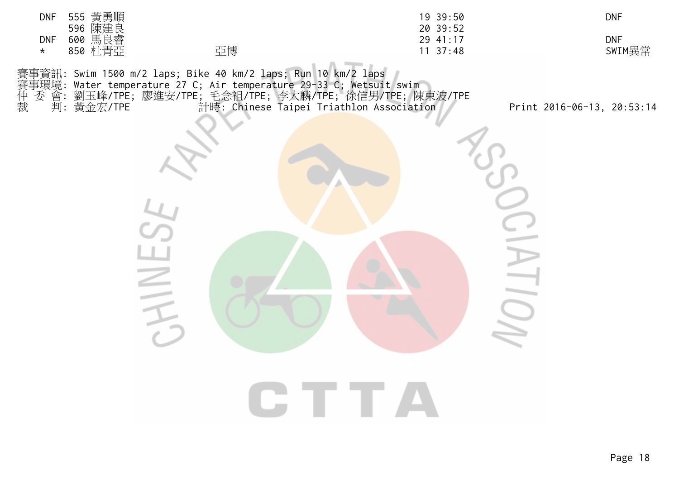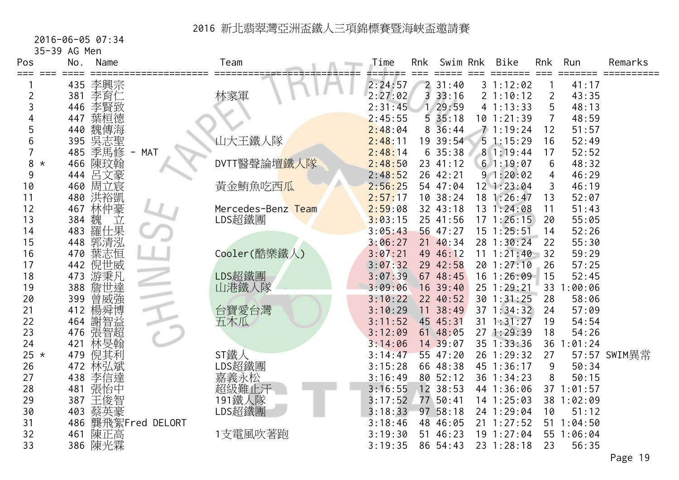#### 2016-06-05 07:34

35-39 AG Men

| Pos          | Name<br>No. | Team                            | Time    | <b>Rnk</b> | Swim Rnk            | Bike           | <b>Rnk</b>     | Run        | Remarks      |
|--------------|-------------|---------------------------------|---------|------------|---------------------|----------------|----------------|------------|--------------|
| ≡≡≡          | 李興宗<br>435  |                                 | 2:24:57 |            | 231:40              | 31:12:02       |                | 41:17      |              |
| 2            | 李育仁<br>381  | 林家軍                             | 2:27:02 | 3          | 33:16               | 2 1:10:12      | $\overline{2}$ | 43:35      |              |
| 3            | 李賢致<br>446  |                                 | 2:31:45 |            | 29:59               | 41:13:33       | 5              | 48:13      |              |
|              | 葉桓德<br>447  |                                 | 2:45:55 |            | 535:18              | 10 1:21:39     | $\overline{7}$ | 48:59      |              |
| 5            | 魏傳海<br>440  |                                 | 2:48:04 |            | $8\overline{36}:44$ | 71:19:24       | 12             | 51:57      |              |
| 6            | 吳志聖<br>395  | 山大王鐵人隊                          | 2:48:11 |            | 19 39:54            | 51:15:29       | 16             | 52:49      |              |
|              | 季馬修<br>485  | <b>MAT</b><br>$\qquad \qquad -$ | 2:48:14 |            | 635:38              | 8 1:19:44      | 17             | 52:52      |              |
| 8<br>$\star$ | 466<br>陳玟翰  | DVTT醫聲論壇鐵人隊                     | 2:48:50 |            | 23 41:12            | 61:19:07       | 6              | 48:32      |              |
| 9            | 呂文豪<br>444  |                                 | 2:48:52 |            | 26 42:21            | 91:20:02       | 4              | 46:29      |              |
| 10           | 周立宸<br>460  | 黄金鮪魚吃西瓜                         | 2:56:25 |            | 54 47:04            | $12$ $1:23:04$ | 3              | 46:19      |              |
| 11           | 480<br>洪裕凱  |                                 | 2:57:17 |            | 10 38:24            | 18 1:26:47     | 13             | 52:07      |              |
| 12           | 林仲豪<br>467  | Mercedes-Benz Team              | 2:59:08 |            | 32 43:18            | 13 1:24:08     | 11             | 51:43      |              |
| 13           | 384         | LDS超鐵團                          | 3:03:15 |            | 25 41:56            | 171:26:15      | 20             | 55:05      |              |
| 14           | 魏 立<br>483  |                                 | 3:05:43 |            | 56 47:27            | $15$ $1:25:51$ | 14             | 52:26      |              |
| 15           | 郭清泓<br>448  |                                 | 3:06:27 |            | 21 40:34            | 28 1:30:24     | 22             | 55:30      |              |
| 16           | 葉志恒<br>470  | Cooler(酷樂鐵人)                    | 3:07:21 |            | 49 46:12            | 11 1:21:40     | 32             | 59:29      |              |
| 17           | 倪世威<br>442  |                                 | 3:07:32 |            | 29 42:58            | 20 1:27:10     | 26             | 57:25      |              |
| 18           | 游秉凡<br>473  | LDS超鐵團                          | 3:07:39 |            | 67 48:45            | $16$ 1:26:09   | 15             | 52:45      |              |
| 19           | 詹世達<br>388  | 山港鐵人隊                           | 3:09:06 |            | $16$ 39:40          | 25 1:29:21     | 33             | :00:06     |              |
| 20           | 曾威強<br>399  |                                 | 3:10:22 |            | 22 40:52            | 30 1:31:25     | 28             | 58:06      |              |
| 21           | 楊舜博<br>412  | 台寶愛台灣                           | 3:10:29 | 11         | 38:49               | 37 1:34:32     | 24             | 57:09      |              |
| 22           | 謝智益<br>464  | 五木瓜                             | 3:11:52 |            | 45 45:31            | $31 \t1:31:27$ | 19             | 54:54      |              |
| 23           | 張智超<br>476  |                                 | 3:12:09 |            | 61 48:05            | 27 1:29:39     | 18             | 54:26      |              |
| 24           | 林旻翰<br>421  |                                 | 3:14:06 |            | 14 39:07            | 35 1:33:36     | 36 1           | 1:01:24    |              |
| 25 $\star$   | 479<br>倪其利  | ST鐵人                            | 3:14:47 |            | 55 47:20            | 26 1:29:32     | 27             |            | 57:57 SWIM異常 |
| 26           | 林弘斌<br>472  | LDS超鐵團                          | 3:15:28 |            | 66 48:38            | 45 1:36:17     | 9              | 50:34      |              |
| 27           | 李信達<br>438  |                                 | 3:16:49 |            | 80 52:12            | 36 1:34:23     | 8              | 50:15      |              |
| 28           | 張怡中<br>481  | 嘉義永松<br>超級難止汗<br>191鐵人隊         | 3:16:55 |            | 12 38:53            | 44 1:36:06     |                | 37 1:01:57 |              |
| 29           | 王俊智<br>387  |                                 | 3:17:52 |            | 77 50:41            | 14 1:25:03     |                | 38 1:02:09 |              |
| 30           | 403<br>蔡英豪  | LDS超鐵團                          | 3:18:33 |            | 97 58:18            | 24 1:29:04     | 10             | 51:12      |              |
| 31           | 486         | 龔飛絮Fred DELORT                  | 3:18:46 |            | 48 46:05            | 21 1:27:52     |                | 51 1:04:50 |              |
| 32           | 461<br>陳正高  | 1支電風吹著跑                         | 3:19:30 | 51         | 46:23               | 19 1:27:04     |                | 55 1:06:04 |              |
| 33           | 陳光霖<br>386  |                                 | 3:19:35 |            | 86 54:43            | 23 1:28:18     | 23             | 56:35      |              |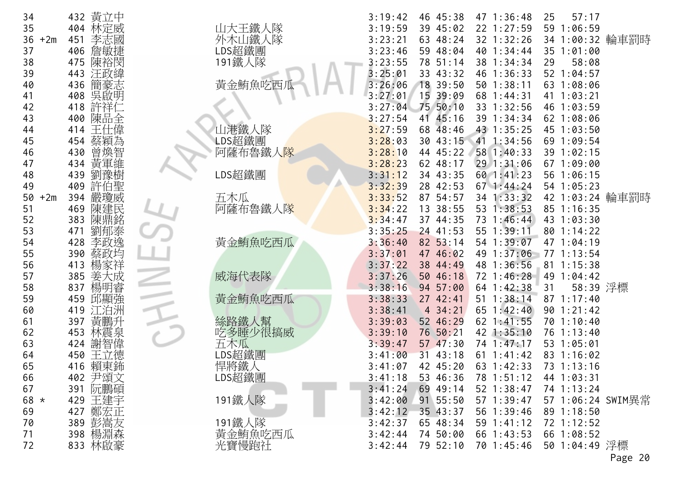| 34          | 432 黄立中            |                       | 46 45:38<br>47 1:36:48<br>57:17<br>3:19:42<br>25       |
|-------------|--------------------|-----------------------|--------------------------------------------------------|
| 35          | 林定威<br>404         | 山大王鐵人隊                | 3:19:59<br>39 45:02<br>22 1:27:59<br>59 1:06:59        |
| 36<br>$+2m$ | 451<br>李志國         | 外木山鐵人隊                | 34 1:00:32 輪車罰時<br>32 1:32:26<br>3:23:21<br>63 48:24   |
| 37          | 406<br>詹敏捷         | LDS超鐵團                | 3:23:46<br>59 48:04<br>40 1:34:44<br>35 1:01:00        |
| 38          | 陳裕閔<br>475         | 191鐵人隊                | 3:23:55<br>78 51:14<br>58:08<br>38 1:34:34<br>29       |
| 39          | 汪政緯<br>443         |                       | 3:25:01<br>33 43:32<br>46 1:36:33<br>52 1:04:57        |
| 40          | 簡豪志<br>436         | 黃金鮪魚吃西瓜               | 3:26:06<br>18 39:50<br>$50$ $1:38:11$<br>63 1:08:06    |
| 41          | 吳啟明<br>408         |                       | 15 39:09<br>3:27:01<br>68 1:44:31<br>41 1:03:21        |
| 42          | 許祥仁<br>418         |                       | 75 50:10<br>33 1:32:56<br>3:27:04<br>46 1:03:59        |
| 43          | 陳品全<br>400         |                       | 3:27:54<br>41 45:16<br>39 1:34:34<br>62 1:08:06        |
| 44          | 王仕偉<br>414         | 山港鐵人隊                 | 43 1:35:25<br>3:27:59<br>68 48:46<br>45 1:03:50        |
| 45          | 454<br>蔡穎為         | LDS超鐵團                | 3:28:03<br>41 1:34:56<br>30 43:15<br>69 1:09:54        |
| 46          | 曾煥智<br>430         | 阿薩布魯鐵人 <mark>隊</mark> | 3:28:10<br>44 45:22<br>58 1:40:33<br>39 1:02:15        |
| 47          | 黃軍維<br>434         |                       | 3:28:23<br>62 48:17<br>29 1:31:06<br>67 1:09:00        |
| 48          | 劉豫樹<br>439         | LDS超鐵團                | 3:31:12<br>34 43:35<br>60 1:41:23<br>56 1:06:15        |
| 49          | 許伯聖<br>409         |                       | 3:32:39<br>28 42:53<br>$67$ 1:44:24<br>54 1:05:23      |
| $+2m$<br>50 | 嚴瓊威<br>394         | 五木瓜                   | 34 1:33:32<br>42 1:03:24 輪車罰時<br>87 54:57<br>3:33:52   |
| 51          | 陳建民<br>469         | 阿薩布魯鐵人隊               | 3:34:22<br>13 38:55<br>53 1:38:53<br>85 1:16:35        |
| 52          | 陳鼎銘<br>383         |                       | 73 1:46:44<br>3:34:47<br>43 1:03:30<br>37 44:35        |
| 53          | 劉郁泰<br>471         |                       | 3:35:25<br>$24$ 41:53<br>55 1:39:11<br>80 1:14:22      |
| 54          | 428<br>李政逸         | 黃金鮪魚吃西瓜               | 54 1:39:07<br>3:36:40<br>82 53:14<br>47 1:04:19        |
| 55          | 蔡政均<br>390         |                       | 49 1:37:06<br>3:37:01<br>47 46:02<br>77 1:13:54        |
| 56          | 楊家祥<br>413         |                       | 3:37:22<br>38 44:49<br>48 1:36:56<br>81 1:15:38        |
| 57          | 385<br>姜大成         | 威海代表隊                 | 49 1:04:42<br>3:37:26<br>50 46:18<br>72 1:46:28        |
| 58          | 楊明睿<br>837         |                       | 58:39 浮標<br>3:38:16<br>94 57:00<br>64 1:42:38<br>31    |
| 59          | 邱顯強<br>459         | 黃金鮪魚吃西瓜               | 51 1:38:14<br>87 1:17:40<br>3:38:33<br>27 42:41        |
| 60          | 419<br>江泊洲         |                       | 4 34:21<br>65 1:42:40<br>3:38:41<br>90 1:21:42         |
| 61          | 黃鵬升<br>397         | 絲路鐵人幫                 | 3:39:03<br>52 46:29<br>62 1:41:55<br>70 1:10:40        |
| 62          | 林震泉<br>453         | 吃多睡少很搞威               | 42 1:35:10<br>3:39:10<br>76 50:21<br>76 1:13:40        |
| 63          | 謝智偉<br>424         | 五木瓜                   | 3:39:47<br>57, 47:30<br>74 1:47:17<br>53 1:05:01       |
| 64          | 王立德<br>450         | LDS超鐵團                | 83 1:16:02<br>3:41:00<br>31 43:18<br>$61 \t1:41:42$    |
| 65          | 賴東鈽<br>416         |                       | 3:41:07<br>42 45:20<br>63 1:42:33<br>73 1:13:16        |
| 66          |                    | 悍將鐵人<br>LDS超鐵團        | 3:41:18<br>53 46:36<br>78 1:51:12<br>44 1:03:31        |
| 67          | 402 尹頌文<br>391 阮鵬碩 |                       | 3:41:24<br>69 49:14<br>52 1:38:47<br>74 1:13:24        |
| 68 *        | 429 王建宇            | 191鐵人隊                | 91 55:50<br>3:42:00<br>57 1:39:47<br>57 1:06:24 SWIM異常 |
|             |                    |                       |                                                        |
| 69<br>70    | 427 鄭宏正            | 191鐵人隊                | 3:42:12<br>35 43:37<br>56 1:39:46<br>89 1:18:50        |
| 71          | 389 彭嵩友            |                       | 3:42:37<br>65 48:34<br>59 1:41:12<br>72 1:12:52        |
|             | 398 楊淵森            | 黃金鮪魚吃西瓜               | 3:42:44<br>66 1:43:53<br>74 50:00<br>66 1:08:52        |
| 72          | 833 林啟豪            | 光寶慢跑社                 | 50 1:04:49 浮標<br>3:42:44<br>79 52:10<br>70 1:45:46     |
|             |                    |                       | Page 20                                                |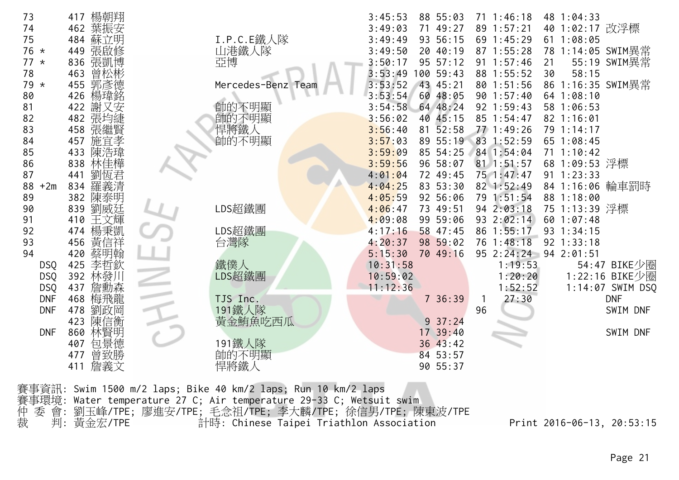| 73          | 楊朝翔<br>417 |                    | 88 55:03<br>3:45:53               | $71 \t1:46:18$          | 48 1:04:33         |
|-------------|------------|--------------------|-----------------------------------|-------------------------|--------------------|
| 74          | 葉振安<br>462 |                    | 3:49:03<br>71 49:27               | 89 1:57:21              | 40 1:02:17 改浮標     |
| 75          | 484<br>蘇立明 | I.P.C.E鐵人隊         | 93 56:15<br>3:49:49               | 69 1:45:29              | 611:08:05          |
| 76 *        | 449 張啟修    | 山港鐵人隊              | 3:49:50<br>20 40:19               | 87 1:55:28              | 78 1:14:05 SWIM異常  |
| $77 *$      | 836 張凱博    | 亞博                 | 95 57:12<br>3:50:17               | $91 \t1:57:46$          | 55:19 SWIM異常<br>21 |
| 78          | 463<br>曾松彬 |                    | 3:53:49<br>100 59:43              | 88 1:55:52              | 30<br>58:15        |
| 79 *        | 455 郭彥德    | Mercedes-Benz Team | 43 45:21<br>3:53:52               | 80 1:51:56              | 86 1:16:35 SWIM異常  |
| 80          | 楊瑋銘<br>426 |                    | 3:53:54<br>60 48:05               | 90 1:57:40              | 64 1:08:10         |
| 81          |            |                    | 64 48:24<br>3:54:58               | 92 1:59:43              | 58 1:06:53         |
|             | 422 謝又安    | 帥的不明顯              |                                   |                         |                    |
| 82          | 482 張均緁    | 帥的不明顯              | 40 45:15<br>3:56:02               | 85 1:54:47              | $82$ 1:16:01       |
| 83          | 張繼賢<br>458 | 悍將鐵人               | 3:56:40<br>$81\ \overline{5}2:58$ | 77 1:49:26              | 79 1:14:17         |
| 84          | 施宜孝<br>457 | 帥的不明顯              | 89 55:19<br>3:57:03               | 83 1:52:59              | 65 1:08:45         |
| 85          | 陳浩瑋<br>433 |                    | 85 54:25<br>3:59:09               | 84 1:54:04              | $71 \t1:10:42$     |
| 86          | 林佳樺<br>838 |                    | 96 58:07<br>3:59:56               | $81$ 1:51:57            | 68 1:09:53 浮標      |
| 87          | 441<br>劉恆君 |                    | 72 49:45<br>4:01:04               | 75 1:47:47              | $91 \t1:23:33$     |
| 88<br>$+2m$ | 羅義清<br>834 |                    | 83 53:30<br>4:04:25               | 82 1:52:49              | 84 1:16:06 輪車罰時    |
| 89          | 陳泰明<br>382 |                    | 4:05:59<br>92 56:06               | 79 1:51:54              | 88 1:18:00         |
| 90          | 839<br>劉威廷 | LDS超鐵團             | 4:06:47<br>73 49:51               | 94 2:03:18              | 75 1:13:39 浮標      |
| 91          | 410 王文輝    |                    | 4:09:08<br>99 59:06               | 93 2:02:14              | 601:07:48          |
| 92          | 楊秉凱<br>474 | LDS超鐵團             | 58 47:45<br>4:17:16               | 86 1:55:17              | 93 1:34:15         |
| 93          | 黃信祥<br>456 | 台灣隊                | 98 59:02<br>4:20:37               | 76 1:48:18              | 92 1:33:18         |
| 94          | 蔡明翰<br>420 |                    | 5:15:30<br>70 49:16               | 95 2:24:24              | 94 2:01:51         |
| <b>DSQ</b>  | 李哲欽<br>425 | 鐵僕人                | 10:31:58                          | 1:19:53                 | 54:47 BIKE少圈       |
| <b>DSQ</b>  | 392<br>林發川 | LDS超鐵團             | 10:59:02                          | 1:20:20                 | 1:22:16 BIKE少圈     |
| <b>DSQ</b>  | 437<br>詹勳森 |                    | 11:12:36                          | 1:52:52                 | 1:14:07 SWIM DSQ   |
| <b>DNF</b>  | 468<br>梅飛龍 | TJS Inc.           | 736:39                            | 27:30<br>$\overline{1}$ | <b>DNF</b>         |
| <b>DNF</b>  | 478<br>劉政岡 | 191鐵人隊             |                                   | 96                      | SWIM DNF           |
|             | 陳信衡<br>423 | 黃金鮪魚吃西瓜            | $9\;37:24$                        |                         |                    |
| <b>DNF</b>  | 林賢明<br>860 |                    | 17 39:40                          |                         | SWIM DNF           |
|             | 包景德<br>407 | 191鐵人隊             | 36 43:42                          |                         |                    |
|             | 曾致勝<br>477 | 帥的不明顯              | 84 53:57                          |                         |                    |
|             | 詹義文<br>411 | 悍將鐵人               | 90 55:37                          |                         |                    |
|             |            |                    |                                   |                         |                    |

賽事資訊: Swim 1500 m/2 laps; Bike 40 km/2 laps; Run 10 km/2 laps 賽事環境: Water temperature 27 C; Air temperature 29-33 C; Wetsuit swim 仲 委 會: 劉玉峰/TPE; 廖進安/TPE; 毛念祖/TPE; 李大麟/TPE; 徐信男/TPE; 陳東波/TPE 裁 判: 黃金宏/TPE 計時: Chinese Taipei Triathlon Association Print 2016-06-13, 20:53:15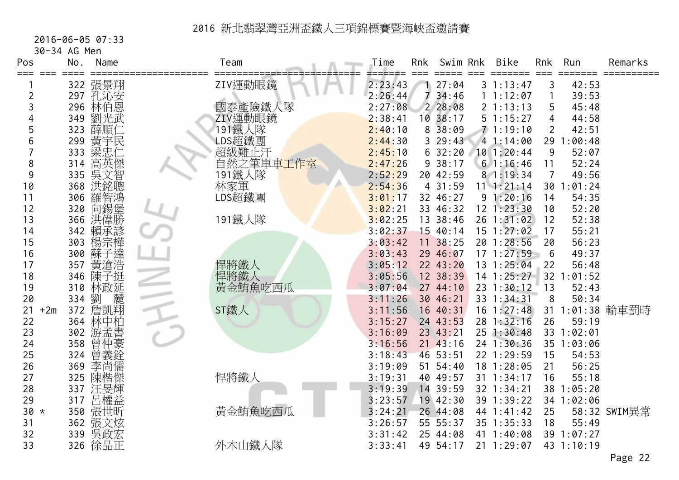#### 2016-06-05 07:33

30-34 AG Men

| Pos         | No.             | Name    | Team            | Time    | Rnk | Swim Rnk     | <b>Bike</b>    | Rnk            | Run             | Remarks         |
|-------------|-----------------|---------|-----------------|---------|-----|--------------|----------------|----------------|-----------------|-----------------|
| === ===     | $=$ $=$ $=$ $=$ | 322 張景翔 | ZIV運動眼鏡         | 2:23:43 |     | 27:04        | 31:13:47       | 3              | ======<br>42:53 | ==========      |
| 2           |                 | 297 孔沁安 |                 | 2:26:44 | 7   | 34:46        | 1 1:12:07      | 1              | 39:53           |                 |
| 3           | 296             | 林伯恩     | 國泰產險鐵人隊         | 2:27:08 |     | 228:08       | 21:13:13       | 5              | 45:48           |                 |
|             | 349             | 劉光武     | ZIV運動眼鏡         | 2:38:41 |     | 10.38:17     | 51:15:27       | 4              | 44:58           |                 |
| 5           | 323             | 薛順仁     | 191鐵人隊          | 2:40:10 | 8   | 38:09        | 71:19:10       | $\overline{2}$ | 42:51           |                 |
| 6           | 299             | 黃宇民     | LDS超鐵團          | 2:44:30 |     | 329:43       | 41:14:00       |                | 29 1:00:48      |                 |
|             | 333             |         | 超級難止汗           | 2:45:10 |     | 632:20       | 10 1:20:44     | 9              | 52:07           |                 |
| 8           | 314             | 高英傑     | 自然之筆單車工作室       | 2:47:26 |     | 938:17       | 61:16:46       | 11             | 52:24           |                 |
| 9           | 335             | 吳文智     | 191鐵人隊          | 2:52:29 |     | 20 42:59     | 8 1:19:34      | $\overline{7}$ | 49:56           |                 |
| 10          | 368             | 洪銘聰     | 林家軍             | 2:54:36 |     | 4 31:59      | $11$ $1:21:14$ |                | 30 1:01:24      |                 |
| 11          | 306             | 羅智鴻     | LDS超鐵團          | 3:01:17 |     | 32 46:27     | 91:20:16       | 14             | 54:35           |                 |
| 12          | 320             | 向錫堡     |                 | 3:02:21 |     | 33 46:32     | $12$ $1:23:30$ | 10             | 52:20           |                 |
| 13          | 366             | 洪偉勝     | 191鐵人隊          | 3:02:25 |     | 13 38:46     | 26 1:31:02     | 12             | 52:38           |                 |
| 14          | 342             | 賴承諺     |                 | 3:02:37 |     | 15 40:14     | 15 1:27:02     | 17             | 55:21           |                 |
| 15          | 303             | 楊宗樺     |                 | 3:03:42 |     | 11 38:25     | 20 1:28:56     | 20             | 56:23           |                 |
| 16          | 300             | 蘇子達     |                 | 3:03:43 |     | 29 46:07     | 171:27:59      | 6              | 49:37           |                 |
| 17          | 357             | 黃滄浩     | 悍將鐵人            | 3:05:12 |     | 22 43:20     | 13 1:25:04     | 22             | 56:48           |                 |
| 18          | 346             | 陳子挺     | 悍將鐵人<br>黃金鮪魚吃西瓜 | 3:05:56 |     | 12 38:39     | $14$ 1:25:27   | 32             | : 01:52         |                 |
| 19          | 310             | 林政延     |                 | 3:07:04 |     | 27 44:10     | 23 1:30:12     | 13             | 52:43           |                 |
| 20          | 334             | 劉 麓     |                 | 3:11:26 |     | 30 46:21     | 33 1:34:31     | 8              | 50:34           |                 |
| $+2m$<br>21 | 372             |         | ST鐵人            | 3:11:56 |     | 16 40:31     | $16 \t1:27:48$ |                |                 | 31 1:01:38 輪車罰時 |
| 22          | 364             | 林中柏     |                 | 3:15:27 |     | 24 43:53     | 28 1:32:16     | 26             | 59:19           |                 |
| 23          | 302             | 游孟書     |                 | 3:16:09 |     | 23 43:21     | 25 1:30:48     |                | 33 1:02:01      |                 |
| 24          | 358             | 曾仲豪     |                 | 3:16:56 |     | $21$ $43:16$ | 24 1:30:36     |                | 35 1:03:06      |                 |
| 25          | 324             | 曾義銓     |                 | 3:18:43 |     | 46 53:51     | 22 1:29:59     | 15             | 54:53           |                 |
| 26          | 369             | 李尚儒     |                 | 3:19:09 |     | 51 54:40     | 18 1:28:05     | 21             | 56:25           |                 |
| 27          | 325             | 陳楷傑     | 悍將鐵人            | 3:19:31 |     | 40 49:57     | 31 1:34:17     | 16             | 55:18           |                 |
| 28          | 337             | 汪旻輝     |                 | 3:19:39 |     | 14 39:59     | 32 1:34:21     |                | 38 1:05:20      |                 |
| 29          | 317             | 呂權益     |                 | 3:23:57 |     | 19 42:30     | 39 1:39:22     |                | 34 1:02:06      |                 |
| $30 *$      | 350             | 張世昕     | 黃金鮪魚吃西瓜         | 3:24:21 |     | 26 44:08     | 44 1:41:42     | 25             |                 | 58:32 SWIM異常    |
| 31          | 362             | 張文炫     |                 | 3:26:57 |     | 55 55:37     | 35 1:35:33     | 18             | 55:49           |                 |
| 32          | 339             | 吳政宏     |                 | 3:31:42 |     | 25 44:08     | 41 1:40:08     |                | 39 1:07:27      |                 |
| 33          | 326             | 徐品正     | 外木山鐵人隊          | 3:33:41 |     | 49 54:17     | 21 1:29:07     |                | 43 1:10:19      |                 |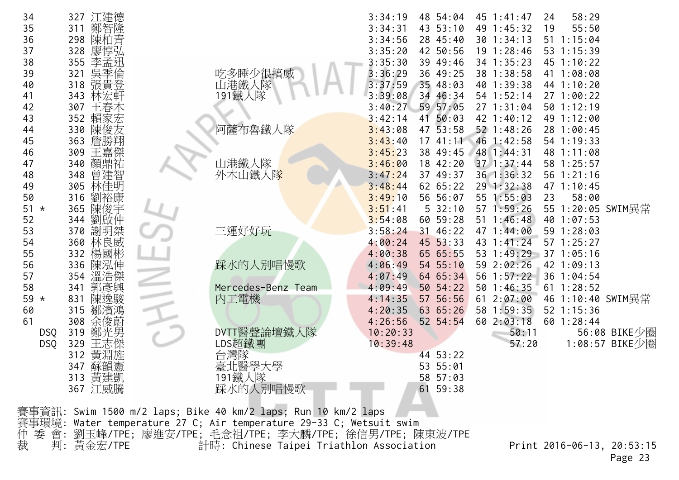| 34<br>35<br>311<br>36<br>298                                | 327 江建德<br>鄭智隆<br>陳柏青                                                                                                                                                                                                                                                                           |                              | 3:34:19<br>3:34:31<br>3:34:56            | 48 54:04<br>43 53:10<br>28 45:40                | 45 1:41:47<br>49 1:45:32<br>30 1:34:13                   | 58:29<br>24<br>55:50<br>19<br>51 1:15:04<br>53 1:15:39        |  |  |  |  |
|-------------------------------------------------------------|-------------------------------------------------------------------------------------------------------------------------------------------------------------------------------------------------------------------------------------------------------------------------------------------------|------------------------------|------------------------------------------|-------------------------------------------------|----------------------------------------------------------|---------------------------------------------------------------|--|--|--|--|
| 37<br>328<br>38<br>355<br>39<br>321<br>318<br>40            | 廖惇弘<br>李孟迅<br>吳季倫<br>張貴登                                                                                                                                                                                                                                                                        | 吃多睡少很搞威<br>山港鐵人隊             | 3:35:20<br>3:35:30<br>3:36:29<br>3:37:59 | 42 50:56<br>39 49:46<br>36 49:25<br>35 48:03    | 19 1:28:46<br>34 1:35:23<br>38 1:38:58<br>40 1:39:38     | 45 1:10:22<br>41 1:08:08<br>44 1:10:20                        |  |  |  |  |
| 343<br>41<br>42<br>307<br>352<br>43<br>330<br>44            | 林宏軒<br>王春木<br>賴家宏<br>陳俊友                                                                                                                                                                                                                                                                        | 191鐵人隊<br>阿薩布魯鐵人隊            | 3:39:08<br>3:40:27<br>3:42:14<br>3:43:08 | 34 46:34<br>59 57:05<br>41 50:03<br>53:58<br>47 | 54 1:52:14<br>27 1:31:04<br>42 1:40:12<br>52 1:48:26     | 271:00:22<br>50 1:12:19<br>49 1:12:00<br>28 1:00:45           |  |  |  |  |
| 363<br>45<br>309<br>46<br>47<br>340<br>348<br>48            | 詹勝翔<br>王嘉傑<br>顏鼎祐<br>曾建智                                                                                                                                                                                                                                                                        | 山港鐵人隊<br>外木山鐵人隊              | 3:43:40<br>3:45:23<br>3:46:00<br>3:47:24 | 17, 41:11<br>38 49:45<br>18 42:20<br>37 49:37   | 46 1:42:58<br>48 1:44:31<br>37 1:37:44<br>36 1:36:32     | 54 1:19:33<br>48 1:11:08<br>58 1:25:57<br>56 1:21:16          |  |  |  |  |
| 305<br>49<br>50<br>316<br>365<br>51<br>$\star$<br>52<br>344 | 林佳明<br>劉裕康<br>陳俊宇<br>劉啟仲                                                                                                                                                                                                                                                                        |                              | 3:48:44<br>3:49:10<br>3:51:41<br>3:54:08 | 62 65:22<br>56 56:07<br>532:10<br>60 59:28      | 29 1:32:38<br>55 1:55:03<br>57 1:59:26<br>$51 \t1:46:48$ | 47 1:10:45<br>23<br>58:00<br>55 1:20:05 SWIM異常<br>40 1:07:53  |  |  |  |  |
| 53<br>370<br>360<br>54<br>332<br>55<br>336<br>56            | 謝明桀<br>林良威<br>楊國彬<br>陳泓伸                                                                                                                                                                                                                                                                        | 三運好好玩<br>踩水的人別唱慢歌            | 3:58:24<br>4:00:24<br>4:00:38<br>4:06:49 | 31 46:22<br>45 53:33<br>65 65:55<br>54 55:10    | 47 1:44:00<br>43 1:41:24<br>53 1:49:29<br>59 2:02:26     | 59 1:28:03<br>57 1:25:27<br>37 1:05:16<br>42 1:09:13          |  |  |  |  |
| 354<br>57<br>58<br>341<br>831<br>59 $*$<br>315<br>60        | 溫浩傑<br>郭彥興<br>陳逸駿<br>鄒濱鴻                                                                                                                                                                                                                                                                        | Mercedes-Benz Team<br>內工電機   | 4:07:49<br>4:09:49<br>4:14:35<br>4:20:35 | 64 65:34<br>50 54:22<br>57 56:56<br>63 65:26    | 56 1:57:22<br>50 1:46:35<br>61 2:07:00<br>58 1:59:35     | 36 1:04:54<br>$61$ 1:28:52<br>46 1:10:40 SWIM異常<br>52 1:15:36 |  |  |  |  |
| 61<br>308<br>319<br><b>DSQ</b><br>329<br><b>DSQ</b><br>312  | 余俊蔚<br>鄭光男<br>王志傑<br>黃淵旌                                                                                                                                                                                                                                                                        | DVTT醫聲論壇鐵人隊<br>LDS超鐵團<br>台灣隊 | 4:26:56<br>10:20:33<br>10:39:48          | 52 54:54<br>44 53:22                            | 60 2:03:18<br>50:11<br>57:20                             | 60 1:28:44<br>56:08 BIKE少圈<br>1:08:57 BIKE少圈                  |  |  |  |  |
|                                                             | 347 蘇韻憲<br>313 黃建凱<br>367 江威騰                                                                                                                                                                                                                                                                   | 臺北醫學大學<br>191鐵人隊<br>踩水的人別唱慢歌 |                                          | 53 55:01<br>58 57:03<br>61 59:38                |                                                          |                                                               |  |  |  |  |
|                                                             | 賽事資訊: Swim 1500 m/2 laps; Bike 40 km/2 laps; Run 10 km/2 laps<br>賽事環境: Water temperature 27 C; Air temperature 29-33 C; Wetsuit swim<br>委 會: 劉玉峰/TPE; 廖進安/TPE; 毛念祖/TPE; 李大麟/TPE; 徐信男/TPE; 陳東波/TPE<br>仲裁<br>判: 黃金宏/TPE<br>計時: Chinese Taipei Triathlon Association<br>Print 2016-06-13, 20:53:15 |                              |                                          |                                                 |                                                          |                                                               |  |  |  |  |

Page 23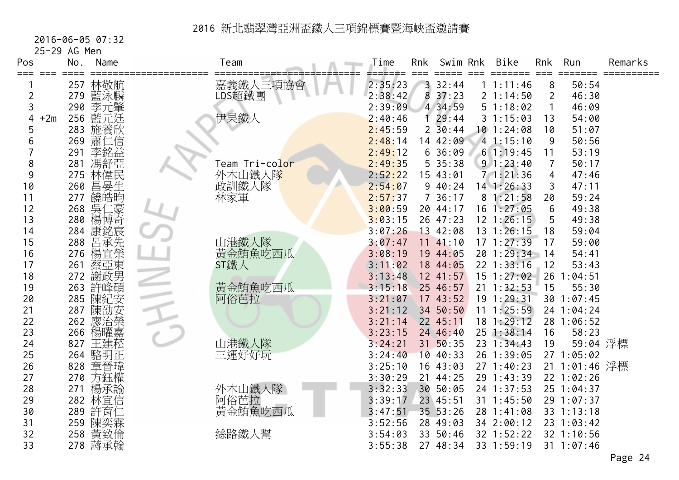2016-06-05 07:32

25-29 AG Men

| Pos            | No.          | Name    | Team                         | Time    | Rnk | Swim Rnk            | Bike           | Rnk            | Run            | Remarks |
|----------------|--------------|---------|------------------------------|---------|-----|---------------------|----------------|----------------|----------------|---------|
| ≔≕≕            |              | 257 林敬航 | 嘉義鐵人三項協會                     | 2:35:23 |     | 333:44              | 1 1:11:46      | 8              | 50:54          |         |
| $\overline{2}$ |              | 279 藍泳麟 | LDS超鐵團                       | 2:38:42 | 8   | 37:23               | 21:14:50       | $\overline{2}$ | 46:30          |         |
| 3              | 290          | 李元肇     |                              | 2:39:09 |     | 4 34:59             | 51:18:02       | 1              | 46:09          |         |
| 4              | $+2m$<br>256 | 藍元廷     | 伊果鐵人                         | 2:40:46 | Ŧ.  | 29:44               | 31:15:03       | 13             | 54:00          |         |
| 5              | 283          | 施養欣     |                              | 2:45:59 |     | $2\overline{30:44}$ | 101:24:08      | 10             | 51:07          |         |
| 6              | 269          | 蕭仁信     |                              | 2:48:14 |     | 14 42:09            | 41:15:10       | 9              | 50:56          |         |
|                | 291          | 李銘益     |                              | 2:49:12 |     | 636:09              | 61:19:45       | 11             | 53:19          |         |
| 8              | 281          | 馮舒亞     | Team Tri-co <mark>lor</mark> | 2:49:35 |     | 5 35:38             | 91:23:40       | $\overline{7}$ | 50:17          |         |
| 9              | 275          | 林偉民     | 外木山鐵人隊                       | 2:52:22 |     | 15 43:01            | 71:21:36       | 4              | 47:46          |         |
| 10             | 260          | 昌晏生     | 政訓鐵人隊                        | 2:54:07 |     | 940:24              | $14$ 1:26:33   | 3              | 47:11          |         |
| 11             | 277          | 饒皓昀     | 林家軍                          | 2:57:37 |     | 736:17              | 81:21:58       | 20             | 59:24          |         |
| 12             | 268          | 吳仁豪     |                              | 3:00:59 |     | 20 44:17            | 16 1:27:05     | 6              | 49:38          |         |
| 13             |              | 280 楊博奇 |                              | 3:03:15 |     | 26 47:23            | $12$ 1:26:15   | 5              | 49:38          |         |
| 14             |              | 284 康銘宸 |                              | 3:07:26 |     | 13 42:08            | 13 1:26:15     | 18             | 59:04          |         |
| 15             | 288          | 呂承先     | 山港鐵人隊                        | 3:07:47 |     | 1141:10             | 171:27:39      | 17             | 59:00          |         |
| 16             | 276          | 楊宜榮     | 黃金鮪魚吃西瓜                      | 3:08:19 |     | 19 44:05            | 20 1:29:34     | $-14$          | 54:41          |         |
| 17             | 261          | 蔡亞東     | ST鐵人                         | 3:11:02 |     | 18 44:05            | 22 1:33:16     | 12             | 53:43          |         |
| 18             | 272          | 謝政男     |                              | 3:13:48 |     | 12 41:57            | 15 1:27:02     |                | 26 1:04:51     |         |
| 19             | 263          | 許峰碩     | 黃金鮪魚吃西瓜                      | 3:15:18 |     | 25 46:57            | $21 \t1:32:53$ | 15             | 55:30          |         |
| 20             | 285          | 陳紀安     | 阿俗芭拉                         | 3:21:07 |     | 1743:52             | 19 1:29:31     |                | 30 1:07:45     |         |
| 21             | 287          | 陳劭安     |                              | 3:21:12 |     | 34 50:50            | $11 \t1:25:59$ |                | 24 1:04:24     |         |
| 22             | 262          | 廖治榮     |                              | 3:21:14 |     | 22 45:11            | $18$ 1:29:12   |                | 28 1:06:52     |         |
| 23             | 266          | 楊曜嘉     |                              | 3:23:15 |     | 24 46:40            | 25 1:38:14     | 16             | 58:23          |         |
| 24             | 827          | 王建菘     | 山港鐵人隊                        | 3:24:21 |     | 31 50:35            | 23 1:34:43     | 19             | 59:04 浮標       |         |
| 25             |              | 264 駱明正 | 三運好好玩                        | 3:24:40 |     | 10 40:33            | 26 1:39:05     |                | 27 1:05:02     |         |
| 26             | 828          | 章晉瑋     |                              | 3:25:10 |     | 16 43:03            | 27 1:40:23     |                | 21 1:01:46 浮標  |         |
| 27             | 270          | 方鈺權     |                              | 3:30:29 |     | 21 44:25            | 29 1:43:39     |                | 22 1:02:26     |         |
| 28             | 271          | 楊承諭     | 外木山鐵人隊                       | 3:32:33 |     | 30 50:05            | 24 1:37:53     |                | 25 1:04:37     |         |
| 29             | 282          | 林宜信     | 阿俗芭拉                         | 3:39:17 |     | 23 45:51            | 31 1:45:50     |                | 29 1:07:37     |         |
| 30             | 289          | 許育仁     | 黃金鮪魚吃西瓜                      | 3:47:51 |     | 35 53:26            | 28 1:41:08     |                | 33 1:13:18     |         |
| 31             | 259          | 陳奕霖     |                              | 3:52:56 |     | 28 49:03            | 34 2:00:12     |                | 23 1:03:42     |         |
| 32             | 258          | 黃致倫     | 絲路鐵人幫                        | 3:54:03 |     | 33 50:46            | 32 1:52:22     |                | 32 1:10:56     |         |
| 33             |              | 278 蔣承翰 |                              | 3:55:38 |     | 27 48:34            | 33 1:59:19     |                | $31 \t1:07:46$ |         |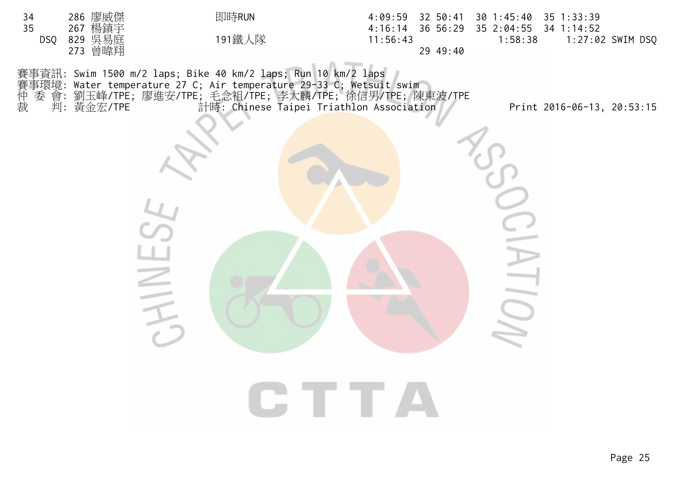| 286 廖威傑<br>34<br>35<br>267 楊鎮宇<br>829 吳易庭<br>273 曾暐翔<br><b>DSQ</b> | 即時RUN<br>191鐵人隊                                                                                                                                                                                                                                                     | $4:09:59$ 32 50:41<br>4:16:14<br>36 56:29<br>11:56:43<br>29 49:40 | 30 1:45:40 35 1:33:39<br>35 2:04:55 34 1:14:52<br>1:58:38 | 1:27:02 SWIM DSQ           |
|--------------------------------------------------------------------|---------------------------------------------------------------------------------------------------------------------------------------------------------------------------------------------------------------------------------------------------------------------|-------------------------------------------------------------------|-----------------------------------------------------------|----------------------------|
|                                                                    | 賽事資訊: Swim 1500 m/2 laps; Bike 40 km/2 laps; Run 10 km/2 laps<br>賽事環境: Water temperature 27 C; Air temperature 29-33 C; Wetsuit swim<br>种 委 會: 劉玉峰/TPE; 廖進安/TPE; 毛念祖/TPE; 李大麟/TPE; 徐信男/TPE; 陳東波/TPE<br>裁  判: 黃金宏/TPE       計時: Chinese Tainei Triathlon Association |                                                                   |                                                           | Print 2016-06-13, 20:53:15 |
|                                                                    |                                                                                                                                                                                                                                                                     |                                                                   |                                                           |                            |
|                                                                    |                                                                                                                                                                                                                                                                     | <b>CTTA</b>                                                       |                                                           |                            |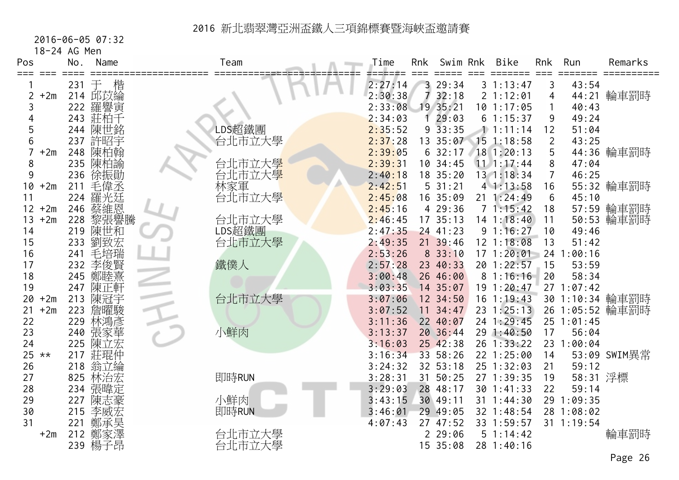2016-06-05 07:32

18-24 AG Men

| Pos               | No.        | Name                                                                                                                                      | Team  |                  | Time               | Rnk     | Swim Rnk           | <b>Bike</b>            | Rnk                   | Run            | Remarks         |
|-------------------|------------|-------------------------------------------------------------------------------------------------------------------------------------------|-------|------------------|--------------------|---------|--------------------|------------------------|-----------------------|----------------|-----------------|
| === ===           |            |                                                                                                                                           |       |                  |                    |         |                    |                        |                       | ======         |                 |
|                   | 231        | 楷<br>干                                                                                                                                    |       |                  | 2:27:14            | 7       | 3 29:34            | 31:13:47               | 3                     | 43:54          |                 |
| $+2m$             |            | 214 邱苡綸                                                                                                                                   |       |                  | 2:30:38            |         | 32:18              | 2 1:12:01              | 4                     |                | 44:21 輪車罰時      |
| 3                 | 222        | 羅譽寅                                                                                                                                       |       |                  | 2:33:08            |         | 19 35:21           | 10 1:17:05             | 1                     | 40:43          |                 |
| 5                 | 243<br>244 | 莊柏千                                                                                                                                       |       |                  | 2:34:03            |         | 29:03<br>33:35     | 61:15:37<br>11:11:14   | 9                     | 49:24          |                 |
|                   |            | 陳世銘                                                                                                                                       |       | LDS超鐵團           | 2:35:52            | 9<br>13 | 35:07              | $15$ 1:18:58           | 12                    | 51:04<br>43:25 |                 |
| 6<br>$+2m$        | 237        | 許昭宇                                                                                                                                       |       | 台北市立大學           | 2:37:28            |         |                    | 18 1:20:13             | $\overline{2}$<br>5   |                |                 |
|                   | 248        | 陳柏翰                                                                                                                                       |       |                  | 2:39:05            |         | 632:17<br>10 34:45 |                        | 8                     |                | 44:36 輪車罰時      |
| 8<br>9            | 235        | 陳柏諭                                                                                                                                       |       | 台北市立大學           | 2:39:31            |         |                    | $11 \quad 1:17:44$     | $\overline{7}$        | 47:04          |                 |
|                   | 236        | 徐振勛                                                                                                                                       |       | 台北市立大學           | 2:40:18            |         | 18 35:20<br>531:21 | 13 1:18:34             |                       | 46:25          |                 |
| $+2m$<br>10<br>11 | 211<br>224 | 毛偉丞                                                                                                                                       | 林家軍   | 台北市立大學           | 2:42:51<br>2:45:08 |         | 16 35:09           | 41:13:58<br>21 1:24:49 | 16<br>$6\phantom{1}6$ | 45:10          | 55:32 輪車罰時      |
| $+2m$<br>12       | 246        | 」羅蔡黎<br>张·<br>黎熙<br>黎<br><br><br><br><br><br><br><br><br><br><br><br><br><br><br><br><br><br><br><br><br><br><br><br><br><br><br><br><br> |       |                  | 2:45:16            |         | 4 29:36            | 71:15:42               | 18                    |                |                 |
| $+2m$<br>13       |            |                                                                                                                                           |       |                  | 2:46:45            |         | 17 35:13           | $14$ 1:18:40           | 11                    |                | 57:59 輪車罰時      |
| 14                | 228<br>219 | 陳世和                                                                                                                                       |       | 台北市立大學<br>LDS超鐵團 | 2:47:35            |         | 24 41:23           | 91:16:27               | 10                    | 49:46          | 50:53 輪車罰時      |
| 15                | 233        | 劉致宏                                                                                                                                       |       | 台北市立大學           | 2:49:35            |         | 21 39:46           | 12 1:18:08             | 13                    | 51:42          |                 |
| 16                | 241        | 毛培瑞                                                                                                                                       |       |                  | 2:53:26            |         | 833:10             | 171:20:01              | 24                    | :00:16         |                 |
| 17                | 232        | 李俊賢                                                                                                                                       | 鐵僕人   |                  | 2:57:28            |         | 23 40:33           | 20 1:22:57             | 15                    | 53:59          |                 |
| 18                | 245        | 鄭睦熹                                                                                                                                       |       |                  | 3:00:48            |         | 26 46:00           | 81:16:16               | 20                    | 58:34          |                 |
| 19                | 247        | 陳正軒                                                                                                                                       |       |                  | 3:03:35            |         | 14 35:07           | 19 1:20:47             |                       | 271:07:42      |                 |
| $+2m$<br>20       | 213        | 陳冠宇                                                                                                                                       |       | 台北市立大學           | 3:07:06            |         | 12 34:50           | $16$ 1:19:43           |                       |                | 30 1:10:34 輪車罰時 |
| $+2m$<br>21       | 223        | 詹曜駿                                                                                                                                       |       |                  | 3:07:52            |         | $11 \t34:47$       | $23 \t1:25:13$         |                       |                | 26 1:05:52 輪車罰時 |
| 22                | 229        | 林鴻彥                                                                                                                                       |       |                  | 3:11:36            |         | 22 40:07           | 24 1:29:45             |                       | 25 1:01:45     |                 |
| 23                | 240        | 張家華                                                                                                                                       | 小鮮肉   |                  | 3:13:37            |         | 20 36:44           | 29 1:40:50             | 17                    | 56:04          |                 |
| 24                | 225        | 陳立宏                                                                                                                                       |       |                  | 3:16:03            |         | 25 42:38           | 26 1:33:22             |                       | 23 1:00:04     |                 |
| 25<br>$***$       | 217        | 莊琨仲                                                                                                                                       |       |                  | 3:16:34            |         | 33 58:26           | 22 1:25:00             | 14                    |                | 53:09 SWIM異常    |
| 26                | 218        | 翁立綸                                                                                                                                       |       |                  | 3:24:32            |         | 32 53:18           | 25 1:32:03             | 21                    | 59:12          |                 |
| 27                | 825        | 林治宏                                                                                                                                       | 即時RUN |                  | 3:28:31            | 31      | 50:25              | 27 1:39:35             | 19                    | 58:31 浮標       |                 |
| 28                |            | 234 張暐定                                                                                                                                   |       |                  | 3:29:03            |         | 28 48:17           | 30 1:41:33             | 22                    | 59:14          |                 |
| 29                | 227        | 陳志豪                                                                                                                                       | 小鮮肉   |                  | 3:43:15            |         | 30 49:11           | 31 1:44:30             |                       | 29 1:09:35     |                 |
| 30                | 215        | 李威宏                                                                                                                                       | 即時RUN |                  | 3:46:01            |         | 29 49:05           | 32 1:48:54             |                       | 28 1:08:02     |                 |
| 31                | 221        | 鄭承昊                                                                                                                                       |       |                  | 4:07:43            |         | 27 47:52           | 33 1:59:57             |                       | 31 1:19:54     |                 |
| $+2m$             | 212        | 鄭家澤                                                                                                                                       |       | 台北市立大學           |                    |         | 229:06             | 51:14:42               |                       |                | 輪車罰時            |
|                   |            | 239 楊子昂                                                                                                                                   |       | 台北市立大學           |                    |         | 15 35:08           | 28 1:40:16             |                       |                |                 |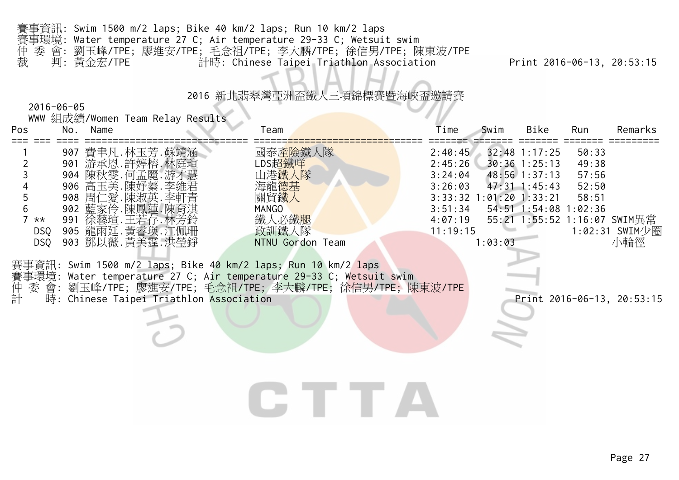| 賽事資訊: Swim 1500 m/2 laps; Bike 40 km/2 laps; Run 10 km/2 laps         |    |
|-----------------------------------------------------------------------|----|
| - 賽事環境: Water temperature 27 C; Air temperature 29-33 C; Wetsuit swim |    |
| 仲 委 會: 劉玉峰/TPE; 廖進安/TPE; 毛念祖/TPE; 李大麟/TPE; 徐信男/TPE; 陳東波/TPE           |    |
| 裁  判:黃金宏/TPE<br>計時: Chinese Taipei Triathlon Association              | Pr |

77

#### 2016-06-05

|                                                                                                       |     |          | WWW 組成績/Women Team Relay Results                                                                                                                                                                                                                                                                                                                                                                                   |                                                                                                  |                                                                            |                                    |                                                                                                        |                                           |                                                                                     |
|-------------------------------------------------------------------------------------------------------|-----|----------|--------------------------------------------------------------------------------------------------------------------------------------------------------------------------------------------------------------------------------------------------------------------------------------------------------------------------------------------------------------------------------------------------------------------|--------------------------------------------------------------------------------------------------|----------------------------------------------------------------------------|------------------------------------|--------------------------------------------------------------------------------------------------------|-------------------------------------------|-------------------------------------------------------------------------------------|
| Pos                                                                                                   |     | No. Name |                                                                                                                                                                                                                                                                                                                                                                                                                    | Team                                                                                             | Time                                                                       | Swim                               | Bike                                                                                                   | Run                                       | Remarks                                                                             |
| $\overline{2}$<br>3<br>$\overline{4}$<br>5<br>$6\phantom{a}$<br>7 $**$<br><b>DSQ</b><br>DSQ<br>委<br>計 | 991 |          | 907 費聿凡.林玉芳.蘇靖涵<br>901 游承恩.許婷榕.林庭瑄<br>904 陳秋雯. 何孟麗. 游才慧<br>906 高玉美.陳妤蓁.李維君<br>908 周仁愛.陳淑英.李軒青<br>902 藍家伶.陳鳳蓮.陳育淇<br>徐藝瑄.王若存.林芳鈴<br>905 龍雨廷.黃睿瑛.江佩珊<br>903 鄧以薇.黃美霆.洪瑩錚<br>事資訊: Swim 1500 m/2 laps; Bike 40 km/2 laps; Run 10 km/2 laps<br>賽事環境: Water temperature 27 C; Air temperature 29-33 C; Wetsuit swim<br>會: 劉玉峰/TPE; 廖進安/TPE; 毛念祖/TPE; 李大麟/TPE; 徐信男/TPE; 陳東波/TPE<br>時: Chinese Taipei Triathlon Association | 國泰產險鐵人隊<br>LDS超鐵咩<br>山港鐵人隊<br>海龍德基<br>關貿鐵人<br><b>MANGO</b><br>鐵人必鐵腿<br>政訓鐵人隊<br>NTNU Gordon Team | 2:40:45<br>2:45:26<br>3:24:04<br>3:26:03<br>3:51:34<br>4:07:19<br>11:19:15 | 3:33:32 1:01:20 1:33:21<br>1:03:03 | 32:48 1:17:25<br>$30:36$ 1:25:13<br>48:56 1:37:13<br>$47:31 \text{ } 1:45:43$<br>54:51 1:54:08 1:02:36 | 50:33<br>49:38<br>57:56<br>52:50<br>58:51 | 55:21 1:55:52 1:16:07 SWIM異常<br>1:02:31 SWIM少圈<br>小輪徑<br>Print 2016-06-13, 20:53:15 |
|                                                                                                       |     |          |                                                                                                                                                                                                                                                                                                                                                                                                                    |                                                                                                  |                                                                            |                                    |                                                                                                        |                                           |                                                                                     |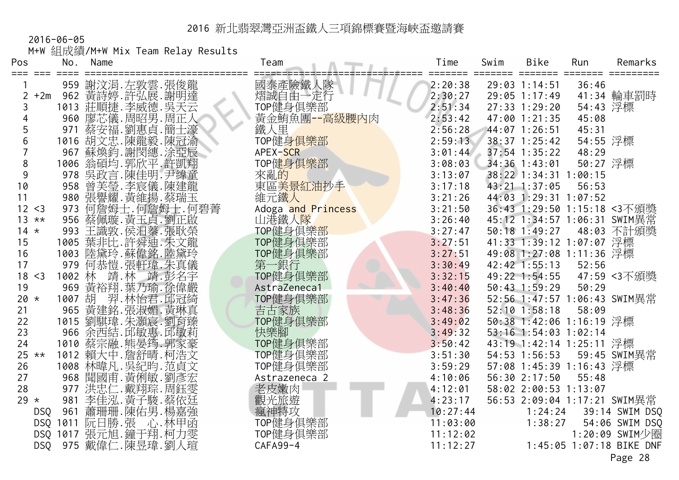2016-06-05 M+W 組成績/M+W Mix Team Relay Results

| Pos            | No.               | Name |                                                         | Team                   | Time     | Swim | <b>Bike</b>              | Run      | Remarks                      |
|----------------|-------------------|------|---------------------------------------------------------|------------------------|----------|------|--------------------------|----------|------------------------------|
|                | $==$              |      | 959 謝汶涓. 左敦雲. 張俊龍                                       | 國泰產險鐵人隊                | 2:20:38  |      | 29:03 1:14:51            | 36:46    |                              |
| $\overline{2}$ | $+2m$             |      | 962 黃詩婷.許弘展.謝明達                                         | 熠誠自由一定行                | 2:30:27  |      | 29:05 1:17:49            |          | 41:34 輪車罰時                   |
|                |                   |      | 1013 莊順捷.李威德.吳天云                                        | TOP健身俱樂部               | 2:51:34  |      | $27:33$ $1:29:20$        | 54:43 浮標 |                              |
|                |                   |      | 960 廖芯儀.周昭男.周正人                                         | 黃金鮪魚團--高級腰內肉           | 2:53:42  |      | 47:00 1:21:35            | 45:08    |                              |
| 5              |                   |      | 971 蔡安福.劉惠貞.簡士濠                                         | 鐵人里                    | 2:56:28  |      | 44:07 1:26:51            | 45:31    |                              |
| 6              |                   |      |                                                         | TOP健身俱樂部               | 2:59:13  |      | 38:37 1:25:42            | 54:55 浮標 |                              |
| 7              |                   |      |                                                         | APEX-SCR               | 3:01:44  |      | $37:54$ 1:35:22          | 48:29    |                              |
| 8              |                   |      | 1016 胡文忠.陳龍毅.陳冠渝<br>967 蘇煥鈞.謝閔繐.涂亞辰<br>1006 翁碩均.郭欣平.許凱翔 | TOP健身俱樂部               | 3:08:03  |      | 34:36 1:43:01            | 50:27 浮標 |                              |
| $9\,$          |                   |      | 978 吳政言.陳佳明.尹緯童                                         | 來亂的                    | 3:13:07  |      | 38:22 1:34:31 1:00:15    |          |                              |
| 10             |                   |      |                                                         | 東區 <mark>美景紅油抄手</mark> | 3:17:18  |      | 43:21 1:37:05            | 56:53    |                              |
| 11             |                   |      | 958 曾芙瑩.李宸儀.陳建龍<br>980 張譽耀.黃維揚.蔡瑞玉                      | 維元鐵人                   | 3:21:26  |      | 44:03 1:29:31 1:07:52    |          |                              |
| 12 < 3         | 973               |      | 何詹姆士.何詹姆士.何碧菁                                           | Adoga and Princess     | 3:21:50  |      |                          |          | 36:43 1:29:50 1:15:18 <3不頒獎  |
| $13 * *$       |                   |      | 956 蔡佩璇. 黃玉貞. 劉正啟                                       | 山港鐵人隊                  | 3:26:40  |      |                          |          | 45:12 1:34:57 1:06:31 SWIM異常 |
| $14 \times$    |                   |      | 993 王識敦.侯汨蓁.張耿榮                                         | TOP健身俱樂部               | 3:27:47  |      | 50:18 1:49:27            |          | 48:03 不計頒獎                   |
| 15             |                   |      | 1005 葉非比.許舜迪.朱文龍                                        | TOP健身俱樂部               | 3:27:51  |      | 41:33 1:39:12 1:07:07 浮標 |          |                              |
| 16             |                   |      | 1003 陸黛玲.蘇偉銘.陸黛玲                                        | TOP健身俱樂部               | 3:27:51  |      | 49:08 1:27:08 1:11:36 浮標 |          |                              |
| 17             | 979               |      | 何恭愷.張軒瑋.朱真儀                                             | 第一銀行                   | 3:30:49  |      | $42:42$ $1:55:13$        | 52:56    |                              |
| 18 < 3         |                   |      | 1002 林 靖.林 靖.彭名宇                                        | TOP健身俱樂部               | 3:32:15  |      | 49:22 1:54:55            |          | 47:59 <3不頒獎                  |
| 19             | 969               |      | 黃裕翔.葉乃瑜.徐偉嚴                                             | AstraZeneca1           | 3:40:40  |      | 50:43 1:59:29            | 50:29    |                              |
| 20 $\star$     |                   |      |                                                         | TOP健身俱樂部               | 3:47:36  |      |                          |          | 52:56 1:47:57 1:06:43 SWIM異常 |
| 21             |                   |      |                                                         | 吉古家族                   | 3:48:36  |      | $52:10$ $1:58:18$        | 58:09    |                              |
| 22             |                   |      |                                                         | TOP健身俱樂部               | 3:49:02  |      | 50:38 1:42:06 1:16:19 浮標 |          |                              |
| 23             |                   |      |                                                         | 快樂腳                    | 3:49:32  |      | 53:16 1:54:03 1:02:14    |          |                              |
| 24             |                   |      |                                                         | TOP健身俱樂部               | 3:50:42  |      | 43:19 1:42:14 1:25:11 浮標 |          |                              |
| $25 **$        |                   |      | 1012 賴大中.詹舒晴.柯浩文                                        | TOP健身俱樂部               | 3:51:30  |      | 54:53 1:56:53            |          | 59:45 SWIM異常                 |
| 26             |                   |      | 1008 林暐凡. 吳紀昀. 范貞文                                      | TOP健身俱樂部               | 3:59:29  |      | 57:08 1:45:39 1:16:43 浮標 |          |                              |
| 27             |                   |      | 968 閏國甫. 黃俐敏. 劉彥宏                                       | Astrazeneca 2          | 4:10:06  |      | 56:30 2:17:50            | 55:48    |                              |
| 28             |                   |      | 977 洪忠仁.戴翔琮.周鈺雯                                         | 老皮嫩肉                   | 4:12:01  |      | 58:02 2:00:53 1:13:07    |          |                              |
| 29 $\star$     | 981               |      | 李佳泓. 黃子駿. 蔡依廷                                           | 觀光旅遊                   | 4:23:17  |      |                          |          | 56:53 2:09:04 1:17:21 SWIM異常 |
|                | 961<br>DSQ        |      | 蕭珊珊.陳佑男.楊嘉強                                             | 瘋神特攻                   | 10:27:44 |      | 1:24:24                  |          | 39:14 SWIM DSQ               |
|                |                   |      | DSQ 1011 阮日勝.張 心.林甲函                                    | TOP健身俱樂部               | 11:03:00 |      | 1:38:27                  |          | 54:06 SWIM DSQ               |
|                |                   |      | DSQ 1017 張元旭. 鐘于翔. 柯力雯                                  | TOP健身俱樂部               | 11:12:02 |      |                          |          | 1:20:09 SWIM少圈               |
|                | <b>DSQ</b><br>975 |      | 戴偉仁.陳昱瑋.劉人瑄                                             | CAFA99-4               | 11:12:27 |      |                          |          | 1:45:05 1:07:18 BIKE DNF     |
|                |                   |      |                                                         |                        |          |      |                          |          | Page 28                      |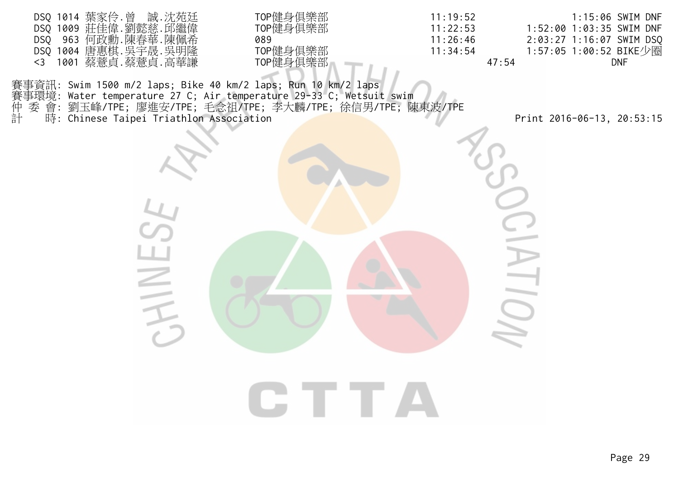| DSQ 1014 葉家伶.曾 誠.沈苑廷 | TOP健身俱樂部 | 11:19:52 | 1:15:06 SWIM DNF         |
|----------------------|----------|----------|--------------------------|
| DSQ 1009 莊佳偉.劉懿慈.邱繼偉 | TOP健身俱樂部 | 11:22:53 |                          |
| DSQ 963 何政勳.陳春華.陳佩希  | 089      | 11:26:46 | 2:03:27 1:16:07 SWIM DSQ |
| DSQ 1004 唐惠棋.吳宇晟.吳明隆 | TOP健身俱樂部 | 11:34:54 | 1:57:05 1:00:52 BIKE少圈   |
| <3 1001 蔡薏貞.蔡薏貞.高華謙  | TOP健身俱樂部 | 47:54    | DNF                      |

賽事資訊: Swim 1500 m/2 laps; Bike 40 km/2 laps; Run 10 km/2 laps 賽事環境: Water temperature 27 C; Air temperature 29-33 C; Wetsuit swim 仲 委 會: 劉玉峰/TPE; 廖進安/TPE; 毛念祖/TPE; 李大麟/TPE; 徐信男/TPE; 陳東波/TPE 計 時: Chinese Taipei Triathlon Association Print 2016-06-13, 20:53:15

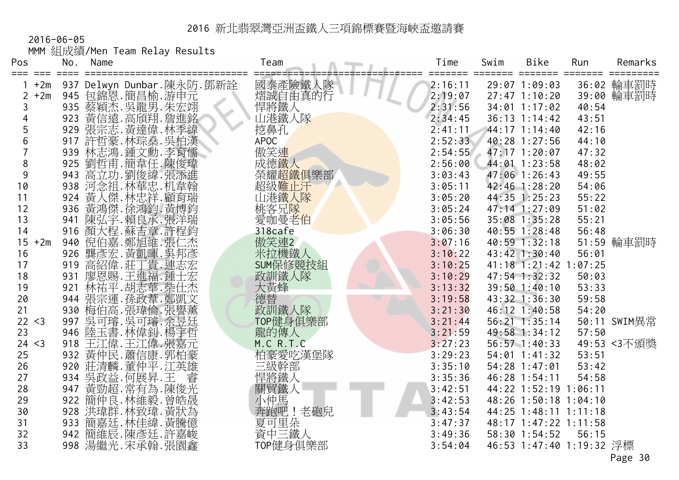2016-06-05

|  | MMM 組成績/Men Team Relay Results |  |  |  |  |
|--|--------------------------------|--|--|--|--|
|--|--------------------------------|--|--|--|--|

| Pos                     | No.        | Name                                                                                                      | Team               | Time               | Swim | Bike                             | Run            | Remarks      |
|-------------------------|------------|-----------------------------------------------------------------------------------------------------------|--------------------|--------------------|------|----------------------------------|----------------|--------------|
| $+2m$                   |            | 937 Delwyn Dunbar.陳永防.鄧新詮                                                                                 | 國泰產險鐵人隊            | 2:16:11            |      | 29:07 1:09:03                    |                | 36:02 輪車罰時   |
| $+2m$<br>$\overline{2}$ | 945        | 包錦恩.簡昌榆.游申元                                                                                               | 熠誠自由真的行            | 2:19:07            |      | $27:47$ 1:10:20                  |                | 39:00 輪車罰時   |
| 3                       |            | 935 蔡穎杰. 吳龍男. 朱宏翊                                                                                         | 悍將鐵人               | 2:31:56            |      | $34:01$ 1:17:02                  | 40:54          |              |
|                         |            | 923 黃信遠. 高頎翔. 詹進銘                                                                                         | 山港鐵人隊              | 2:34:45            |      | $36:13$ 1:14:42                  | 43:51          |              |
| 5                       |            | 929 張宗志. 黃達偉. 林季緯                                                                                         | 挖鼻孔                | 2:41:11            |      | 44:17 1:14:40                    | 42:16          |              |
| 6                       |            | 917 許哲豪. 林琮燊. 吳柏漢                                                                                         | <b>APOC</b>        | 2:52:33            |      | 40:28 1:27:56                    | 44:10          |              |
|                         |            | 939 林志鴻.鍾文勳.李育儒<br>925 劉哲甫.簡韋任.陳俊瑋                                                                        | 傲笑連                | 2:54:55            |      | 47:17 1:20:07                    | 47:32          |              |
| $\,8\,$                 |            |                                                                                                           | 成德鐵人               | 2:56:00            |      | 44:01 1:23:58                    | 48:02          |              |
| $9\,$                   |            | 943 高立功. 劉俊緯. 張添進                                                                                         | 榮耀超鐵俱樂部            | 3:03:43            |      | 47:06 1:26:43                    | 49:55          |              |
| 10                      |            | 938 河念祖.林華忠.机韋翰                                                                                           | 超級難止汗              | 3:05:11            |      | 42:46 1:28:20                    | 54:06          |              |
| 11                      | 924        | 黃人傑.林忠祥.顧育瑞                                                                                               | 山港鐵人隊              | 3:05:20            |      | 44:35 1:25:23                    | 55:22          |              |
| 12                      |            | 936 黃鴻傑.徐鴻鈞.黃博鈞                                                                                           | 桃客兄 <mark>隊</mark> | 3:05:24            |      | 47:14 1:27:09                    | 51:02          |              |
| 13                      | 941        | 陳弘宇.賴良承.張洋瑞                                                                                               | 愛咖曼老伯              | 3:05:56            |      | 35:08 1:35:28                    | 55:21          |              |
| 14                      | 916        |                                                                                                           | 318cafe            | 3:06:30            |      | $40:55$ $1:28:48$                | 56:48          |              |
| 15<br>$+2m$             | 940        | "顏大信嘉,鄭加維,張仁嘉,<br>魏德,黃明輝,張仁嘉,黃明輝,張仁嘉,黃明輝,其中,建成十一年,清朝時,三十一年,三十一年。<br>唐朝朝鮮,王朝,唐朝朝,王朝,唐朝朝,王朝,唐朝朝,王朝,唐朝,王朝,唐朝 | 傲笑連2               | 3:07:16            |      | 40:59 1:32:18                    |                | 51:59 輪車罰時   |
| 16                      | 926        |                                                                                                           | 米拉機鐵人<br>SUM保修競技組  | 3:10:22            |      | 43:42 1:30:40                    | 56:01          |              |
| 17                      | 919        |                                                                                                           |                    | 3:10:25            |      | 41:18 1:21:42 1:07:25            |                |              |
| 18<br>19                | 931<br>921 | 廖恩賜.王進福.鍾士宏<br>林祐平. 胡志華. 柴仕杰                                                                              | 政訓鐵人隊<br>大黃蜂       | 3:10:29<br>3:13:32 |      | $47:54$ 1:32:32<br>39:50 1:40:10 | 50:03<br>53:33 |              |
| 20                      | 944        |                                                                                                           | 德替                 | 3:19:58            |      | 43:32 1:36:30                    | 59:58          |              |
| 21                      |            | 張宗運.孫政葦.鄭凱文<br>930 梅伯高.張瑋倫.張譽薰                                                                            | 政訓鐵人隊              | 3:21:30            |      | 46:12 1:40:58                    | 54:20          |              |
| 22 < 3                  |            | 997 吳可璿. 吳可璿. 余昱廷                                                                                         | TOP健身俱樂部           | 3:21:44            |      | $56:21$ $1:35:14$                |                | 50:11 SWIM異常 |
| 23                      |            | 946 陸玉書. 林偉釗. 楊宇哲                                                                                         | 龍的傳人               | 3:21:59            |      | 49:58 1:34:12                    | 57:50          |              |
| 24 < 3                  |            | 918 王江偉.王江偉.張嘉元                                                                                           | M.C R.T.C          | 3:27:23            |      | 56:57 1:40:33                    |                | 49:53 <3不頒獎  |
| 25                      |            | 932 黃仲民.蕭信康.郭柏豪                                                                                           | 柏豪愛吃漢堡隊            | 3:29:23            |      | $54:01$ 1:41:32                  | 53:51          |              |
| 26                      | 920        | 莊清麟.董仲平.江英雄                                                                                               | 三級幹部               | 3:35:10            |      | 54:28 1:47:01                    | 53:42          |              |
| 27                      | 934        | 吳政益.何展昇.王                                                                                                 | 悍將鐵人               | 3:35:36            |      | 46:28 1:54:11                    | 54:58          |              |
| 28                      | 947        | 黃勁超.常有為.陳俊光                                                                                               | 關貿鐵人               | 3:42:51            |      | 44:22 1:52:19 1:06:11            |                |              |
| 29                      |            | 922 簡仲良.林維毅.曾皓晟                                                                                           | 小仲馬                | 3:42:53            |      | 48:26 1:50:18 1:04:10            |                |              |
| 30                      | 928        | 洪瑋群.林致瑋.黃狀為                                                                                               | 奔跑吧!老砲兒            | 3:43:54            |      | 44:25 1:48:11 1:11:18            |                |              |
| 31                      | 933        | 簡嘉廷.林佳緯.黃騰億<br>簡維辰.陳彥廷.許嘉峻                                                                                | 夏可里朵<br>資中三鐵人      | 3:47:37            |      | 48:17 1:47:22 1:11:58            |                |              |
| 32                      | 942        |                                                                                                           |                    | 3:49:36            |      | 58:30 1:54:52                    | 56:15          |              |
| 33                      |            | 998 湯繼光.宋承翰.張園鑫                                                                                           | TOP健身俱樂部           | 3:54:04            |      | 46:53 1:47:40 1:19:32 浮標         |                |              |